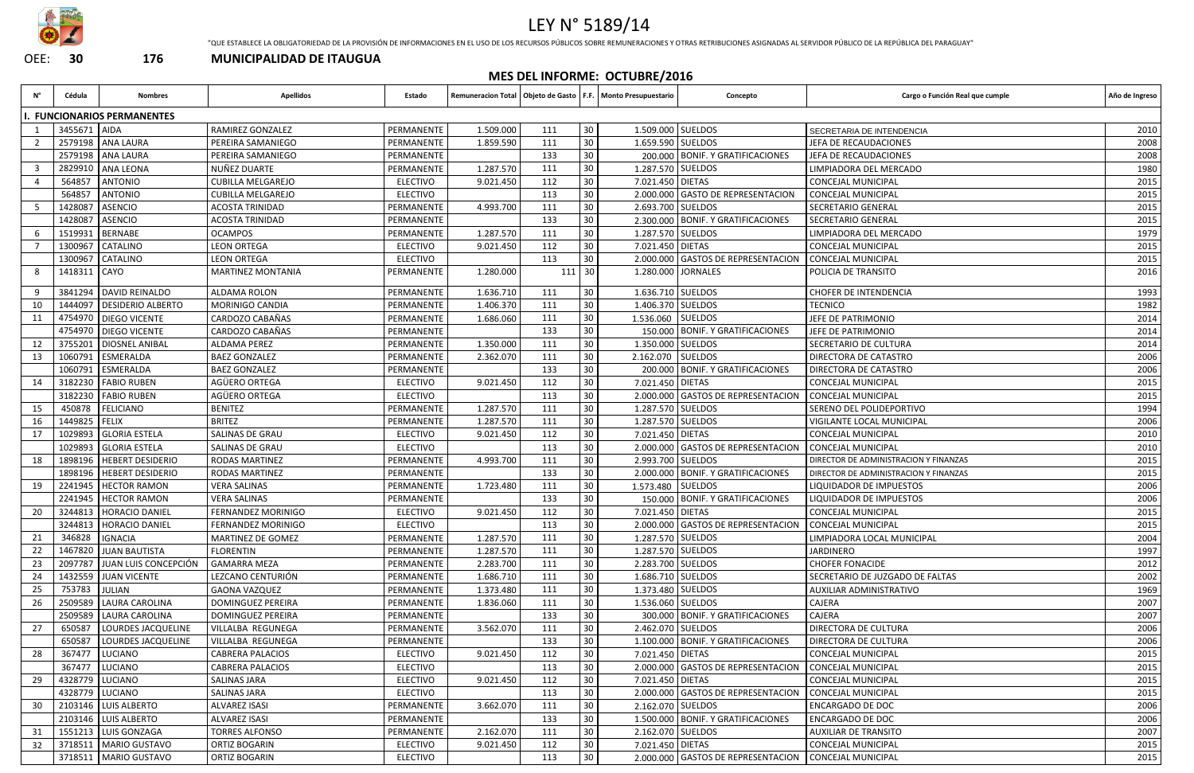

## LEY N° 5189/14

"QUE ESTABLECE LA OBLIGATORIEDAD DE LA PROVISIÓN DE INFORMACIONES EN EL USO DE LOS RECURSOS PÚBLICOS SOBRE REMUNERACIONES Y OTRAS RETRIBUCIONES ASIGNADAS AL SERVIDOR PÚBLICO DE LA REPÚBLICA DEL PARAGUAY"

OEE: **30 176 MUNICIPALIDAD DE ITAUGUA**

### **MES DEL INFORME: OCTUBRE/2016**

| N° | Cédula          | <b>Nombres</b>                  | <b>Apellidos</b>         | Estado          |           |     |                 | Remuneracion Total   Objeto de Gasto   F.F.   Monto Presupuestario | Concepto                                              | Cargo o Función Real que cumple       | Año de Ingreso |
|----|-----------------|---------------------------------|--------------------------|-----------------|-----------|-----|-----------------|--------------------------------------------------------------------|-------------------------------------------------------|---------------------------------------|----------------|
|    |                 | <b>FUNCIONARIOS PERMANENTES</b> |                          |                 |           |     |                 |                                                                    |                                                       |                                       |                |
|    | 3455671 AIDA    |                                 | RAMIREZ GONZALEZ         | PERMANENTE      | 1.509.000 | 111 | 30 <sup>°</sup> | 1.509.000 SUELDOS                                                  |                                                       | SECRETARIA DE INTENDENCIA             | 2010           |
|    |                 | 2579198 ANA LAURA               | PEREIRA SAMANIEGO        | PERMANENTE      | 1.859.590 | 111 | 30              | 1.659.590 SUELDOS                                                  |                                                       | JEFA DE RECAUDACIONES                 | 2008           |
|    |                 | 2579198 ANA LAURA               | PEREIRA SAMANIEGO        | PERMANENTE      |           | 133 | 30              |                                                                    | 200.000 BONIF. Y GRATIFICACIONES                      | JEFA DE RECAUDACIONES                 | 2008           |
|    | 2829910         | <b>ANA LEONA</b>                | NUÑEZ DUARTE             | PERMANENTE      | 1.287.570 | 111 | 30              | 1.287.570 SUELDOS                                                  |                                                       | LIMPIADORA DEL MERCADO                | 1980           |
|    | 564857          | <b>ANTONIO</b>                  | <b>CUBILLA MELGAREJO</b> | <b>ELECTIVO</b> | 9.021.450 | 112 | 30              | 7.021.450 DIETAS                                                   |                                                       | CONCEJAL MUNICIPAL                    | 2015           |
|    | 564857          | <b>ANTONIO</b>                  | <b>CUBILLA MELGAREJO</b> | <b>ELECTIVO</b> |           | 113 | 30 <sup>°</sup> |                                                                    | 2.000.000 GASTO DE REPRESENTACION                     | <b>CONCEJAL MUNICIPAL</b>             | 2015           |
|    | 1428087         | <b>ASENCIO</b>                  | <b>ACOSTA TRINIDAD</b>   | PERMANENTE      | 4.993.700 | 111 | 30              | 2.693.700 SUELDOS                                                  |                                                       | SECRETARIO GENERAL                    | 2015           |
|    | 1428087         | <b>ASENCIO</b>                  | <b>ACOSTA TRINIDAD</b>   | PERMANENTE      |           | 133 | 30              |                                                                    | 2.300.000 BONIF. Y GRATIFICACIONES                    | <b>SECRETARIO GENERAL</b>             | 2015           |
|    | 1519931         | <b>BERNABE</b>                  | <b>OCAMPOS</b>           | PERMANENTE      | 1.287.570 | 111 | 30 <sub>o</sub> | 1.287.570 SUELDOS                                                  |                                                       | LIMPIADORA DEL MERCADO                | 1979           |
|    |                 | 1300967 CATALINO                | <b>LEON ORTEGA</b>       | <b>ELECTIVO</b> | 9.021.450 | 112 | 30 <sup>°</sup> | 7.021.450 DIETAS                                                   |                                                       | <b>CONCEJAL MUNICIPAL</b>             | 2015           |
|    |                 | 1300967   CATALINO              | <b>LEON ORTEGA</b>       | <b>ELECTIVO</b> |           | 113 | 30              |                                                                    | 2.000.000 GASTOS DE REPRESENTACION                    | <b>CONCEJAL MUNICIPAL</b>             | 2015           |
|    | 1418311 CAYO    |                                 | <b>MARTINEZ MONTANIA</b> | PERMANENTE      | 1.280.000 | 111 | 30              |                                                                    | 1.280.000 JORNALES                                    | POLICIA DE TRANSITO                   | 2016           |
|    | 3841294         | DAVID REINALDO                  | ALDAMA ROLON             | PERMANENTE      | 1.636.710 | 111 | 30              | 1.636.710 SUELDOS                                                  |                                                       | <b>CHOFER DE INTENDENCIA</b>          | 1993           |
| 10 | 1444097         | DESIDERIO ALBERTO               | <b>MORINIGO CANDIA</b>   | PERMANENTE      | 1.406.370 | 111 | 30 <sup>°</sup> | 1.406.370 SUELDOS                                                  |                                                       | <b>TECNICO</b>                        | 1982           |
|    |                 | 4754970   DIEGO VICENTE         | CARDOZO CABAÑAS          | PERMANENTE      | 1.686.060 | 111 | 30              | 1.536.060 SUELDOS                                                  |                                                       | JEFE DE PATRIMONIO                    | 2014           |
|    |                 | 4754970 DIEGO VICENTE           | CARDOZO CABAÑAS          | PERMANENTE      |           | 133 | 30              |                                                                    | 150.000 BONIF. Y GRATIFICACIONES                      | JEFE DE PATRIMONIO                    | 2014           |
| 12 | 3755201         | <b>DIOSNEL ANIBAL</b>           | ALDAMA PEREZ             | PERMANENTE      | 1.350.000 | 111 | 30 <sup>°</sup> | 1.350.000 SUELDOS                                                  |                                                       | SECRETARIO DE CULTURA                 | 2014           |
| 13 | 1060791         | <b>ESMERALDA</b>                | <b>BAEZ GONZALEZ</b>     | PERMANENTE      | 2.362.070 | 111 | 30              | 2.162.070 SUELDOS                                                  |                                                       | DIRECTORA DE CATASTRO                 | 2006           |
|    | 1060791         | ESMERALDA                       | <b>BAEZ GONZALEZ</b>     | PERMANENTE      |           | 133 | 30              |                                                                    | 200.000   BONIF. Y GRATIFICACIONES                    | DIRECTORA DE CATASTRO                 | 2006           |
|    | 3182230         | <b>FABIO RUBEN</b>              | AGÜERO ORTEGA            | <b>ELECTIVO</b> | 9.021.450 | 112 | 30              | 7.021.450 DIETAS                                                   |                                                       | <b>CONCEJAL MUNICIPAL</b>             | 2015           |
|    | 3182230         | <b>FABIO RUBEN</b>              | AGÜERO ORTEGA            | <b>ELECTIVO</b> |           | 113 | 30              |                                                                    | 2.000.000 GASTOS DE REPRESENTACION                    | <b>CONCEJAL MUNICIPAL</b>             | 2015           |
| 15 | 450878          | <b>FELICIANO</b>                | <b>BENITEZ</b>           | PERMANENTE      | 1.287.570 | 111 | 30              | 1.287.570 SUELDOS                                                  |                                                       | SERENO DEL POLIDEPORTIVO              | 1994           |
| 16 | 1449825 FELIX   |                                 | <b>BRITEZ</b>            | PERMANENTE      | 1.287.570 | 111 | 30              | 1.287.570 SUELDOS                                                  |                                                       | VIGILANTE LOCAL MUNICIPAL             | 2006           |
| 17 |                 | 1029893 GLORIA ESTELA           | SALINAS DE GRAU          | <b>ELECTIVO</b> | 9.021.450 | 112 | 30              | 7.021.450 DIETAS                                                   |                                                       | <b>CONCEJAL MUNICIPAL</b>             | 2010           |
|    |                 | 1029893 GLORIA ESTELA           | SALINAS DE GRAU          | <b>ELECTIVO</b> |           | 113 | 30              |                                                                    | 2.000.000 GASTOS DE REPRESENTACION                    | <b>CONCEJAL MUNICIPAL</b>             | 2010           |
| 18 |                 | 1898196   HEBERT DESIDERIO      | <b>RODAS MARTINEZ</b>    | PERMANENTE      | 4.993.700 | 111 | 30              | 2.993.700 SUELDOS                                                  |                                                       | DIRECTOR DE ADMINISTRACION Y FINANZAS | 2015           |
|    |                 | 1898196   HEBERT DESIDERIO      | RODAS MARTINEZ           | PERMANENTE      |           | 133 | 30              |                                                                    | 2.000.000 BONIF. Y GRATIFICACIONES                    | DIRECTOR DE ADMINISTRACION Y FINANZAS | 2015           |
| 19 |                 | 2241945   HECTOR RAMON          | <b>VERA SALINAS</b>      | PERMANENTE      | 1.723.480 | 111 | 30              | 1.573.480 SUELDOS                                                  |                                                       | LIQUIDADOR DE IMPUESTOS               | 2006           |
|    |                 | 2241945   HECTOR RAMON          | <b>VERA SALINAS</b>      | PERMANENTE      |           | 133 | 30              |                                                                    | 150.000 BONIF. Y GRATIFICACIONES                      | LIQUIDADOR DE IMPUESTOS               | 2006           |
| 20 |                 | 3244813   HORACIO DANIEL        | FERNANDEZ MORINIGO       | <b>ELECTIVO</b> | 9.021.450 | 112 | 30              | 7.021.450 DIETAS                                                   |                                                       | CONCEJAL MUNICIPAL                    | 2015           |
|    |                 | 3244813   HORACIO DANIEL        | FERNANDEZ MORINIGO       | <b>ELECTIVO</b> |           | 113 | 30              |                                                                    | 2.000.000 GASTOS DE REPRESENTACION CONCEJAL MUNICIPAL |                                       | 2015           |
| 21 | 346828          | <b>IGNACIA</b>                  | MARTINEZ DE GOMEZ        | PERMANENTE      | 1.287.570 | 111 | 30              | 1.287.570 SUELDOS                                                  |                                                       | LIMPIADORA LOCAL MUNICIPAL            | 2004           |
| 22 |                 | 1467820 JUAN BAUTISTA           | <b>FLORENTIN</b>         | PERMANENTE      | 1.287.570 | 111 | 30 <sup>°</sup> | 1.287.570 SUELDOS                                                  |                                                       | JARDINERO                             | 1997           |
| 23 | 2097787         | JUAN LUIS CONCEPCIÓN            | <b>GAMARRA MEZA</b>      | PERMANENTE      | 2.283.700 | 111 | 30              | 2.283.700 SUELDOS                                                  |                                                       | <b>CHOFER FONACIDE</b>                | 2012           |
| 24 | 1432559         | <b>JUAN VICENTE</b>             | LEZCANO CENTURIÓN        | PERMANENTE      | 1.686.710 | 111 | 30              | 1.686.710 SUELDOS                                                  |                                                       | SECRETARIO DE JUZGADO DE FALTAS       | 2002           |
| 25 | 753783          | <b>JULIAN</b>                   | GAONA VAZQUEZ            | PERMANENTE      | 1.373.480 | 111 | 30 <sup>°</sup> | 1.373.480 SUELDOS                                                  |                                                       | <b>AUXILIAR ADMINISTRATIVO</b>        | 1969           |
| 26 |                 | 2509589 LAURA CAROLINA          | DOMINGUEZ PEREIRA        | PERMANENTE      | 1.836.060 | 111 | 30              | 1.536.060 SUELDOS                                                  |                                                       | CAJERA                                | 2007           |
|    |                 | 2509589 LAURA CAROLINA          | <b>DOMINGUEZ PEREIRA</b> | PERMANENTE      |           | 133 | 30              |                                                                    | 300.000 BONIF. Y GRATIFICACIONES                      | <b>CAJERA</b>                         | 2007           |
| 27 | 650587          | LOURDES JACQUELINE              | VILLALBA REGUNEGA        | PERMANENTE      | 3.562.070 | 111 | 30              | 2.462.070 SUELDOS                                                  |                                                       | <b>DIRECTORA DE CULTURA</b>           | 2006           |
|    | 650587          | LOURDES JACQUELINE              | VILLALBA REGUNEGA        | PERMANENTE      |           | 133 | 30              |                                                                    | 1.100.000 BONIF. Y GRATIFICACIONES                    | <b>DIRECTORA DE CULTURA</b>           | 2006           |
| 28 | 367477          | LUCIANO                         | <b>CABRERA PALACIOS</b>  | <b>ELECTIVO</b> | 9.021.450 | 112 | 30 <sup>°</sup> | 7.021.450 DIETAS                                                   |                                                       | CONCEJAL MUNICIPAL                    | 2015           |
|    | 367477          | <b>LUCIANO</b>                  | CABRERA PALACIOS         | <b>ELECTIVO</b> |           | 113 |                 |                                                                    | 2.000.000 GASTOS DE REPRESENTACION                    | <b>CONCEJAL MUNICIPAL</b>             | 2015           |
| 29 | 4328779 LUCIANO |                                 | <b>SALINAS JARA</b>      | <b>ELECTIVO</b> | 9.021.450 | 112 | 30<br>30        | 7.021.450   DIETAS                                                 |                                                       | CONCEJAL MUNICIPAL                    | 2015           |
|    | 4328779 LUCIANO |                                 | <b>SALINAS JARA</b>      | <b>ELECTIVO</b> |           | 113 | 30              |                                                                    | 2.000.000 GASTOS DE REPRESENTACION                    | <b>CONCEJAL MUNICIPAL</b>             | 2015           |
|    |                 |                                 | <b>ALVAREZ ISASI</b>     | PERMANENTE      |           |     |                 |                                                                    |                                                       |                                       | 2006           |
| 30 |                 | 2103146   LUIS ALBERTO          |                          |                 | 3.662.070 | 111 | 30              | 2.162.070 SUELDOS                                                  |                                                       | <b>ENCARGADO DE DOC</b>               |                |
|    |                 | 2103146 LUIS ALBERTO            | <b>ALVAREZ ISASI</b>     | PERMANENTE      |           | 133 | 30              |                                                                    | 1.500.000 BONIF. Y GRATIFICACIONES                    | <b>ENCARGADO DE DOC</b>               | 2006           |
| 31 |                 | 1551213 LUIS GONZAGA            | <b>TORRES ALFONSO</b>    | PERMANENTE      | 2.162.070 | 111 | 30 <sup>°</sup> | 2.162.070 SUELDOS                                                  |                                                       | <b>AUXILIAR DE TRANSITO</b>           | 2007           |
| 32 |                 | 3718511   MARIO GUSTAVO         | ORTIZ BOGARIN            | <b>ELECTIVO</b> | 9.021.450 | 112 | 30              | 7.021.450 DIETAS                                                   |                                                       | <b>CONCEJAL MUNICIPAL</b>             | 2015           |
|    |                 | 3718511   MARIO GUSTAVO         | ORTIZ BOGARIN            | <b>ELECTIVO</b> |           | 113 | 30              |                                                                    | 2.000.000 GASTOS DE REPRESENTACION                    | <b>CONCEJAL MUNICIPAL</b>             | 2015           |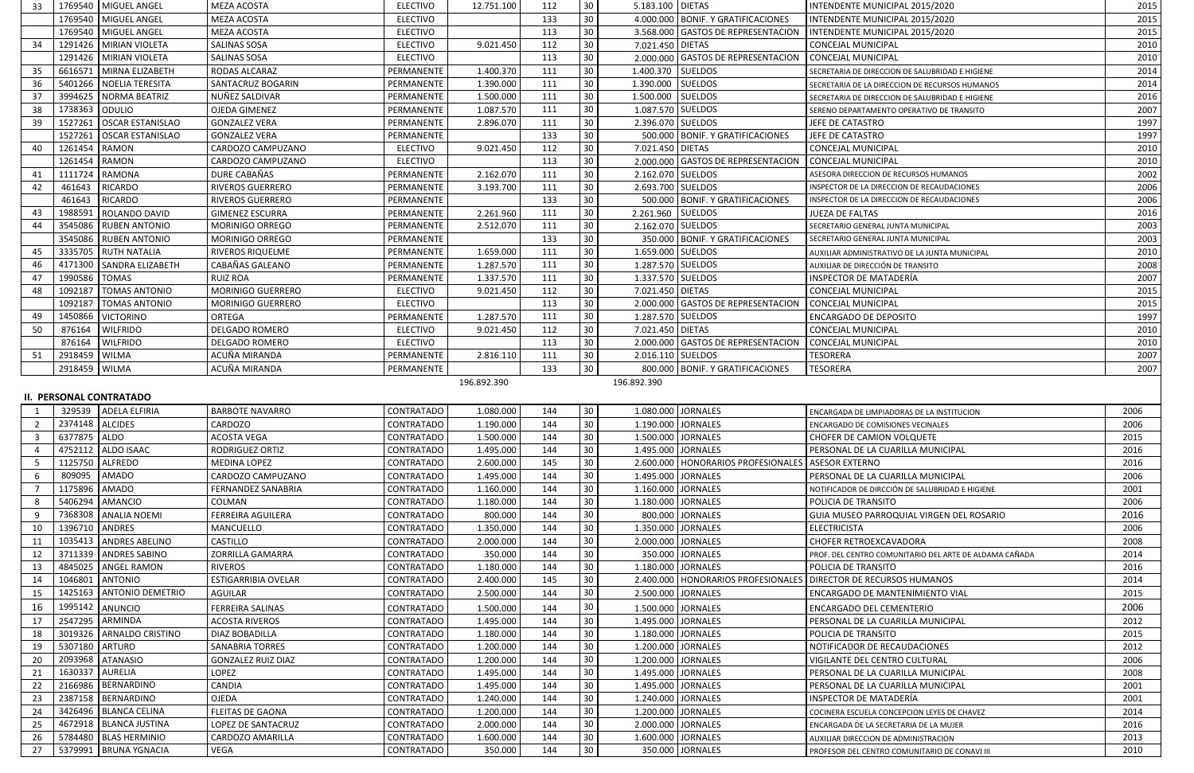| 33             |                 | 1769540   MIGUEL ANGEL         | MEZA ACOSTA                          | <b>ELECTIVO</b>               | 12.751.100             | 112 | 30 <sup>°</sup> | 5.183.100 DIETAS                     | INTENDENTE MUNICIPAL 2015/2020                         | 2015         |
|----------------|-----------------|--------------------------------|--------------------------------------|-------------------------------|------------------------|-----|-----------------|--------------------------------------|--------------------------------------------------------|--------------|
|                |                 | 1769540 MIGUEL ANGEL           | MEZA ACOSTA                          | <b>ELECTIVO</b>               |                        | 133 | 30 <sup>°</sup> | 4.000.000 BONIF. Y GRATIFICACIONES   | INTENDENTE MUNICIPAL 2015/2020                         | 2015         |
|                |                 | 1769540 MIGUEL ANGEL           | MEZA ACOSTA                          | <b>ELECTIVO</b>               |                        | 113 | 30              | 3.568.000 GASTOS DE REPRESENTACION   | INTENDENTE MUNICIPAL 2015/2020                         | 2015         |
| 34             |                 | 1291426   MIRIAN VIOLETA       | <b>SALINAS SOSA</b>                  | <b>ELECTIVO</b>               | 9.021.450              | 112 | 30              | 7.021.450 DIETAS                     | <b>CONCEJAL MUNICIPAL</b>                              | 2010         |
|                |                 | 1291426 MIRIAN VIOLETA         | <b>SALINAS SOSA</b>                  | <b>ELECTIVO</b>               |                        | 113 | 30              | 2.000.000 GASTOS DE REPRESENTACION   | <b>CONCEJAL MUNICIPAL</b>                              | 2010         |
| 35             | 6616571         | MIRNA ELIZABETH                | RODAS ALCARAZ                        | PERMANENTE                    | 1.400.370              | 111 | 30              | 1.400.370 SUELDOS                    | SECRETARIA DE DIRECCION DE SALUBRIDAD E HIGIENE        | 2014         |
| 36             | 5401266         | <b>NOELIA TERESITA</b>         | SANTACRUZ BOGARIN                    | PERMANENTE                    | 1.390.000              | 111 | 30              | <b>SUELDOS</b><br>1.390.000          | SECRETARIA DE LA DIRECCION DE RECURSOS HUMANOS         | 2014         |
| 37             | 3994625         | <b>NORMA BEATRIZ</b>           | NUÑEZ SALDIVAR                       | PERMANENTE                    | 1.500.000              | 111 | 30              | 1.500.000 SUELDOS                    | SECRETARIA DE DIRECCION DE SALUBRIDAD E HIGIENE        | 2016         |
| 38             | 1738363         | ODULIO                         | <b>OJEDA GIMENEZ</b>                 | PERMANENTE                    | 1.087.570              | 111 | 30              | 1.087.570 SUELDOS                    | SERENO DEPARTAMENTO OPERATIVO DE TRANSITO              | 2007         |
| 39             | 1527261         | <b>OSCAR ESTANISLAO</b>        | <b>GONZALEZ VERA</b>                 | PERMANENTE                    | 2.896.070              | 111 | 30              | 2.396.070 SUELDOS                    | JEFE DE CATASTRO                                       | 1997         |
|                | 1527261         | <b>OSCAR ESTANISLAO</b>        | <b>GONZALEZ VERA</b>                 | PERMANENTE                    |                        | 133 | 30 <sup>°</sup> | 500.000 BONIF. Y GRATIFICACIONES     | JEFE DE CATASTRO                                       | 1997         |
| 40             | 1261454         | RAMON                          | CARDOZO CAMPUZANO                    | <b>ELECTIVO</b>               | 9.021.450              | 112 | 30 <sup>°</sup> | 7.021.450 DIETAS                     | CONCEJAL MUNICIPAL                                     | 2010         |
|                | 1261454         | RAMON                          | CARDOZO CAMPUZANO                    | <b>ELECTIVO</b>               |                        | 113 | 30              | 2.000.000 GASTOS DE REPRESENTACION   | <b>CONCEJAL MUNICIPAL</b>                              | 2010         |
| 41             | 1111724         | RAMONA                         | DURE CABAÑAS                         | PERMANENTE                    | 2.162.070              | 111 | 30              | 2.162.070 SUELDOS                    | ASESORA DIRECCION DE RECURSOS HUMANOS                  | 2002         |
| 42             | 461643          | <b>RICARDO</b>                 | <b>RIVEROS GUERRERO</b>              | PERMANENTE                    | 3.193.700              | 111 | 30              | 2.693.700 SUELDOS                    | INSPECTOR DE LA DIRECCION DE RECAUDACIONES             | 2006         |
|                | 461643          | RICARDO                        | <b>RIVEROS GUERRERO</b>              | PERMANENTE                    |                        | 133 | 30              | 500.000 BONIF. Y GRATIFICACIONES     | INSPECTOR DE LA DIRECCION DE RECAUDACIONES             | 2006         |
| 43             | 1988591         | ROLANDO DAVID                  | <b>GIMENEZ ESCURRA</b>               | PERMANENTE                    | 2.261.960              | 111 | 30              | 2.261.960 SUELDOS                    | <b>JUEZA DE FALTAS</b>                                 | 2016         |
| 44             | 3545086         | <b>RUBEN ANTONIO</b>           | MORINIGO ORREGO                      | PERMANENTE                    | 2.512.070              | 111 | 30              | 2.162.070 SUELDOS                    | SECRETARIO GENERAL JUNTA MUNICIPAL                     | 2003         |
|                | 3545086         | <b>RUBEN ANTONIO</b>           | MORINIGO ORREGO                      | PERMANENTE                    |                        | 133 | 30              | 350.000 BONIF. Y GRATIFICACIONES     | SECRETARIO GENERAL JUNTA MUNICIPAL                     | 2003         |
| 45             | 3335705         | <b>RUTH NATALIA</b>            | <b>RIVEROS RIQUELME</b>              | PERMANENTE                    | 1.659.000              | 111 | 30              | 1.659.000 SUELDOS                    |                                                        | 2010         |
| 46             | 4171300         | <b>SANDRA ELIZABETH</b>        | CABAÑAS GALEANO                      |                               |                        | 111 | 30              | 1.287.570 SUELDOS                    | AUXILIAR ADMINISTRATIVO DE LA JUNTA MUNICIPAL          |              |
|                | 1990586         | <b>TOMAS</b>                   |                                      | PERMANENTE                    | 1.287.570              | 111 | 30              | 1.337.570 SUELDOS                    | AUXILIAR DE DIRECCIÓN DE TRANSITO                      | 2008<br>2007 |
| 47             | 1092187         | <b>TOMAS ANTONIO</b>           | <b>RUIZ ROA</b><br>MORINIGO GUERRERO | PERMANENTE<br><b>ELECTIVO</b> | 1.337.570<br>9.021.450 | 112 | 30 <sup>°</sup> | 7.021.450 DIETAS                     | INSPECTOR DE MATADERÍA                                 | 2015         |
| 48             |                 |                                |                                      |                               |                        |     |                 |                                      | <b>CONCEJAL MUNICIPAL</b>                              |              |
|                | 1092187         | <b>TOMAS ANTONIO</b>           | MORINIGO GUERRERO                    | <b>ELECTIVO</b>               |                        | 113 | 30              | 2.000.000 GASTOS DE REPRESENTACION   | <b>CONCEJAL MUNICIPAL</b>                              | 2015         |
| 49             | 1450866         | <b>VICTORINO</b>               | <b>ORTEGA</b>                        | PERMANENTE                    | 1.287.570              | 111 | 30              | 1.287.570 SUELDOS                    | <b>ENCARGADO DE DEPOSITO</b>                           | 1997         |
| 50             | 876164          | <b>WILFRIDO</b>                | <b>DELGADO ROMERO</b>                | <b>ELECTIVO</b>               | 9.021.450              | 112 | 30 <sup>°</sup> | 7.021.450 DIETAS                     | <b>CONCEJAL MUNICIPAL</b>                              | 2010         |
|                | 876164          | <b>WILFRIDO</b>                | <b>DELGADO ROMERO</b>                | <b>ELECTIVO</b>               |                        | 113 | 30              | 2.000.000 GASTOS DE REPRESENTACION   | CONCEJAL MUNICIPAL                                     | 2010         |
| 51             | 2918459         | <b>WILMA</b>                   | ACUÑA MIRANDA                        | PERMANENTE                    | 2.816.110              | 111 | 30 <sup>°</sup> | 2.016.110 SUELDOS                    | <b>TESORERA</b>                                        | 2007         |
|                | 2918459   WILMA |                                | ACUÑA MIRANDA                        | PERMANENTE                    |                        | 133 | 30              | 800.000 BONIF. Y GRATIFICACIONES     | <b>TESORERA</b>                                        | 2007         |
|                |                 |                                |                                      |                               |                        |     |                 |                                      |                                                        |              |
|                |                 |                                |                                      |                               | 196.892.390            |     |                 | 196.892.390                          |                                                        |              |
|                |                 | <b>II. PERSONAL CONTRATADO</b> |                                      |                               |                        |     |                 |                                      |                                                        |              |
|                |                 | 329539 ADELA ELFIRIA           | <b>BARBOTE NAVARRO</b>               | CONTRATADO                    | 1.080.000              | 144 | 30 <sup>°</sup> | 1.080.000 JORNALES                   | ENCARGADA DE LIMPIADORAS DE LA INSTITUCION             | 2006         |
| $\overline{2}$ | 2374148 ALCIDES |                                | CARDOZO                              | CONTRATADO                    | 1.190.000              | 144 | 30 <sup>°</sup> | 1.190.000 JORNALES                   | <b>ENCARGADO DE COMISIONES VECINALES</b>               | 2006         |
| $\mathbf{R}$   | 6377875 ALDO    |                                | ACOSTA VEGA                          | CONTRATADO                    | 1.500.000              | 144 | 30 <sup>°</sup> | 1.500.000 JORNALES                   | CHOFER DE CAMION VOLQUETE                              | 2015         |
|                |                 | 4752112   ALDO ISAAC           | <b>RODRIGUEZ ORTIZ</b>               | CONTRATADO                    | 1.495.000              | 144 | 30              | 1.495.000 JORNALES                   | PERSONAL DE LA CUARILLA MUNICIPAL                      | 2016         |
|                |                 | 1125750 ALFREDO                | <b>MEDINA LOPEZ</b>                  | CONTRATADO                    | 2.600.000              | 145 | 30 <sup>°</sup> | 2.600.000   HONORARIOS PROFESIONALES | <b>ASESOR EXTERNO</b>                                  | 2016         |
|                | 809095          | AMADO                          | CARDOZO CAMPUZANO                    | CONTRATADO                    |                        | 144 | 30              | 1.495.000 JORNALES                   | PERSONAL DE LA CUARILLA MUNICIPAL                      | 2006         |
|                | 1175896         | <b>AMADO</b>                   | <b>FERNANDEZ SANABRIA</b>            |                               | 1.495.000              | 144 | 30              | 1.160.000 JORNALES                   |                                                        | 2001         |
|                |                 |                                |                                      | CONTRATADO                    | 1.160.000              | 144 | 30 <sup>°</sup> |                                      | NOTIFICADOR DE DIRCCIÓN DE SALUBRIDAD E HIGIENE        |              |
|                | 5406294         | <b>AMANCIO</b>                 | COLMAN                               | CONTRATADO                    | 1.180.000              |     | 30              | 1.180.000 JORNALES                   | POLICIA DE TRANSITO                                    | 2006<br>2016 |
|                |                 | 7368308   ANALIA NOEMI         | <b>FERREIRA AGUILERA</b>             | CONTRATADO                    | 800.000                | 144 |                 | 800.000 JORNALES                     | GUIA MUSEO PARROQUIAL VIRGEN DEL ROSARIO               |              |
| 10             | 1396710         | <b>ANDRES</b>                  | MANCUELLO                            | CONTRATADO                    | 1.350.000              | 144 | 30              | 1.350.000 JORNALES                   | <b>ELECTRICISTA</b>                                    | 2006         |
| 11             | 1035413         | <b>ANDRES ABELINO</b>          | CASTILLO                             | CONTRATADO                    | 2.000.000              | 144 | 30              | 2.000.000 JORNALES                   | CHOFER RETROEXCAVADORA                                 | 2008         |
| 12             | 3711339         | <b>ANDRES SABINO</b>           | <b>ZORRILLA GAMARRA</b>              | CONTRATADO                    | 350.000                | 144 | 30              | 350.000 JORNALES                     | PROF. DEL CENTRO COMUNITARIO DEL ARTE DE ALDAMA CAÑADA | 2014         |
| 13             |                 | 4845025   ANGEL RAMON          | <b>RIVEROS</b>                       | CONTRATADO                    | 1.180.000              | 144 | 30              | 1.180.000 JORNALES                   | POLICIA DE TRANSITO                                    | 2016         |
| 14             | 1046801         | <b>ANTONIO</b>                 | <b>ESTIGARRIBIA OVELAR</b>           | CONTRATADO                    | 2.400.000              | 145 | 30              | 2.400.000   HONORARIOS PROFESIONALES | <b>DIRECTOR DE RECURSOS HUMANOS</b>                    | 2014         |
| 15             | 1425163         | <b>ANTONIO DEMETRIO</b>        | AGUILAR                              | CONTRATADO                    | 2.500.000              | 144 | 30              | 2.500.000 JORNALES                   | ENCARGADO DE MANTENIMIENTO VIAL                        | 2015         |
| 16             |                 | 1995142 ANUNCIO                | <b>FERREIRA SALINAS</b>              | CONTRATADO                    | 1.500.000              | 144 | 30              | 1.500.000 JORNALES                   | ENCARGADO DEL CEMENTERIO                               | 2006         |
| 17             |                 | 2547295 ARMINDA                | <b>ACOSTA RIVEROS</b>                | CONTRATADO                    | 1.495.000              | 144 | 30              | 1.495.000 JORNALES                   | PERSONAL DE LA CUARILLA MUNICIPAL                      | 2012         |
| 18             | 3019326         | ARNALDO CRISTINO               | DIAZ BOBADILLA                       | CONTRATADO                    | 1.180.000              | 144 | 30              | 1.180.000 JORNALES                   | POLICIA DE TRANSITO                                    | 2015         |
| 19             | 5307180         | <b>ARTURO</b>                  | <b>SANABRIA TORRES</b>               | CONTRATADO                    | 1.200.000              | 144 | 30              | 1.200.000 JORNALES                   | NOTIFICADOR DE RECAUDACIONES                           | 2012         |
| 20             | 2093968         | <b>ATANASIO</b>                | <b>GONZALEZ RUIZ DIAZ</b>            | CONTRATADO                    | 1.200.000              | 144 | 30              | 1.200.000 JORNALES                   | VIGILANTE DEL CENTRO CULTURAL                          | 2006         |
| 21             | 1630337 AURELIA |                                | LOPEZ                                | CONTRATADO                    | 1.495.000              | 144 | 30              | 1.495.000 JORNALES                   | PERSONAL DE LA CUARILLA MUNICIPAL                      | 2008         |
| 22             | 2166986         | <b>BERNARDINO</b>              | CANDIA                               | CONTRATADO                    | 1.495.000              | 144 | 30 <sup>°</sup> | 1.495.000 JORNALES                   | PERSONAL DE LA CUARILLA MUNICIPAL                      | 2001         |
| 23             |                 | 2387158   BERNARDINO           | OJEDA                                | CONTRATADO                    | 1.240.000              | 144 | 30              | 1.240.000 JORNALES                   | INSPECTOR DE MATADERÍA                                 | 2001         |
| 24             |                 | 3426496 BLANCA CELINA          | <b>FLEITAS DE GAONA</b>              | CONTRATADO                    | 1.200.000              | 144 | 30              | 1.200.000 JORNALES                   | COCINERA ESCUELA CONCEPCION LEYES DE CHAVEZ            | 2014         |
| 25             | 4672918         | <b>BLANCA JUSTINA</b>          | LOPEZ DE SANTACRUZ                   | CONTRATADO                    | 2.000.000              | 144 | 30 <sup>°</sup> | 2.000.000 JORNALES                   | ENCARGADA DE LA SECRETARIA DE LA MUJER                 | 2016         |
| 26             |                 | 5784480   BLAS HERMINIO        | CARDOZO AMARILLA                     | CONTRATADO                    | 1.600.000              | 144 | 30              | 1.600.000 JORNALES                   | AUXILIAR DIRECCION DE ADMINISTRACION                   | 2013         |

| 1              | 329539  | ADELA ELFIRIA           | <b>BARBOTE NAVARRO</b>     | CONTRATADO        | 1.080.000 | 144 | 30 |                    | 1.080.000 JORNALES                   | <b>ENCARGADA DE LIM</b>   |
|----------------|---------|-------------------------|----------------------------|-------------------|-----------|-----|----|--------------------|--------------------------------------|---------------------------|
| 2              | 2374148 | <b>ALCIDES</b>          | CARDOZO                    | <b>CONTRATADO</b> | 1.190.000 | 144 | 30 |                    | 1.190.000 JORNALES                   | <b>ENCARGADO DE CO</b>    |
| 3              | 6377875 | <b>ALDO</b>             | <b>ACOSTA VEGA</b>         | CONTRATADO        | 1.500.000 | 144 | 30 |                    | 1.500.000 JORNALES                   | <b>CHOFER DE CAMI</b>     |
| 4              | 4752112 | <b>ALDO ISAAC</b>       | RODRIGUEZ ORTIZ            | <b>CONTRATADO</b> | 1.495.000 | 144 | 30 | 1.495.000 JORNALES |                                      | PERSONAL DE LA            |
| 5              | 1125750 | <b>ALFREDO</b>          | <b>MEDINA LOPEZ</b>        | <b>CONTRATADO</b> | 2.600.000 | 145 | 30 |                    | 2.600.000   HONORARIOS PROFESIONALES | <b>ASESOR EXTERNO</b>     |
| 6              | 809095  | <b>AMADO</b>            | CARDOZO CAMPUZANO          | CONTRATADO        | 1.495.000 | 144 | 30 |                    | 1.495.000 JORNALES                   | PERSONAL DE LA            |
| $\overline{7}$ | 1175896 | <b>AMADO</b>            | FERNANDEZ SANABRIA         | CONTRATADO        | 1.160.000 | 144 | 30 |                    | 1.160.000 JORNALES                   | NOTIFICADOR DE DI         |
| 8              | 5406294 | AMANCIO                 | <b>COLMAN</b>              | CONTRATADO        | 1.180.000 | 144 | 30 |                    | 1.180.000 JORNALES                   | POLICIA DE TRAN           |
| 9              | 7368308 | <b>ANALIA NOEMI</b>     | <b>FERREIRA AGUILERA</b>   | <b>CONTRATADO</b> | 800.000   | 144 | 30 |                    | 800.000 JORNALES                     | <b>GUIA MUSEO PAI</b>     |
| 10             | 1396710 | <b>ANDRES</b>           | <b>MANCUELLO</b>           | CONTRATADO        | 1.350.000 | 144 | 30 |                    | 1.350.000 JORNALES                   | <b>ELECTRICISTA</b>       |
| 11             | 1035413 | <b>ANDRES ABELINO</b>   | <b>CASTILLO</b>            | <b>CONTRATADO</b> | 2.000.000 | 144 | 30 |                    | 2.000.000 JORNALES                   | <b>CHOFER RETROE</b>      |
| 12             | 3711339 | <b>ANDRES SABINO</b>    | <b>ZORRILLA GAMARRA</b>    | <b>CONTRATADO</b> | 350.000   | 144 | 30 |                    | 350.000 JORNALES                     | PROF. DEL CENTRO          |
| 13             | 4845025 | <b>ANGEL RAMON</b>      | <b>RIVEROS</b>             | CONTRATADO        | 1.180.000 | 144 | 30 |                    | 1.180.000 JORNALES                   | POLICIA DE TRAN           |
| 14             | 1046801 | <b>ANTONIO</b>          | <b>ESTIGARRIBIA OVELAR</b> | CONTRATADO        | 2.400.000 | 145 | 30 |                    | 2.400.000   HONORARIOS PROFESIONALES | <b>DIRECTOR DE REQ</b>    |
| 15             | 1425163 | <b>ANTONIO DEMETRIO</b> | <b>AGUILAR</b>             | CONTRATADO        | 2.500.000 | 144 | 30 |                    | 2.500.000 JORNALES                   | ENCARGADO DE I            |
| 16             | 1995142 | ANUNCIO                 | <b>FERREIRA SALINAS</b>    | CONTRATADO        | 1.500.000 | 144 | 30 | 1.500.000 JORNALES |                                      | <b>ENCARGADO DEL</b>      |
| 17             | 2547295 | ARMINDA                 | <b>ACOSTA RIVEROS</b>      | CONTRATADO        | 1.495.000 | 144 | 30 |                    | 1.495.000 JORNALES                   | PERSONAL DE LA            |
| 18             | 3019326 | <b>ARNALDO CRISTINO</b> | DIAZ BOBADILLA             | CONTRATADO        | 1.180.000 | 144 | 30 |                    | 1.180.000 JORNALES                   | POLICIA DE TRAN           |
| 19             | 5307180 | <b>ARTURO</b>           | <b>SANABRIA TORRES</b>     | <b>CONTRATADO</b> | 1.200.000 | 144 | 30 |                    | 1.200.000 JORNALES                   | NOTIFICADOR DE            |
| 20             | 2093968 | <b>ATANASIO</b>         | <b>GONZALEZ RUIZ DIAZ</b>  | <b>CONTRATADO</b> | 1.200.000 | 144 | 30 |                    | 1.200.000 JORNALES                   | VIGILANTE DEL CI          |
| 21             | 1630337 | <b>AURELIA</b>          | <b>LOPEZ</b>               | CONTRATADO        | 1.495.000 | 144 | 30 | 1.495.000 JORNALES |                                      | PERSONAL DE LA            |
| 22             | 2166986 | <b>BERNARDINO</b>       | <b>CANDIA</b>              | CONTRATADO        | 1.495.000 | 144 | 30 |                    | 1.495.000 JORNALES                   | PERSONAL DE LA            |
| 23             | 2387158 | BERNARDINO              | <b>OJEDA</b>               | <b>CONTRATADO</b> | 1.240.000 | 144 | 30 |                    | 1.240.000 JORNALES                   | <b>INSPECTOR DE M</b>     |
| 24             | 3426496 | <b>BLANCA CELINA</b>    | <b>FLEITAS DE GAONA</b>    | CONTRATADO        | 1.200.000 | 144 | 30 |                    | 1.200.000 JORNALES                   | <b>COCINERA ESCUELA</b>   |
| 25             | 4672918 | <b>BLANCA JUSTINA</b>   | LOPEZ DE SANTACRUZ         | CONTRATADO        | 2.000.000 | 144 | 30 |                    | 2.000.000 JORNALES                   | <b>ENCARGADA DE LA 9</b>  |
| 26             | 5784480 | <b>BLAS HERMINIO</b>    | CARDOZO AMARILLA           | <b>CONTRATADO</b> | 1.600.000 | 144 | 30 |                    | 1.600.000 JORNALES                   | <b>AUXILIAR DIRECCION</b> |
| 27             | 5379991 | <b>BRUNA YGNACIA</b>    | <b>VEGA</b>                | CONTRATADO        | 350.000   | 144 | 30 |                    | 350.000 JORNALES                     | PROFESOR DEL CENT         |
|                |         |                         |                            |                   |           |     |    |                    |                                      |                           |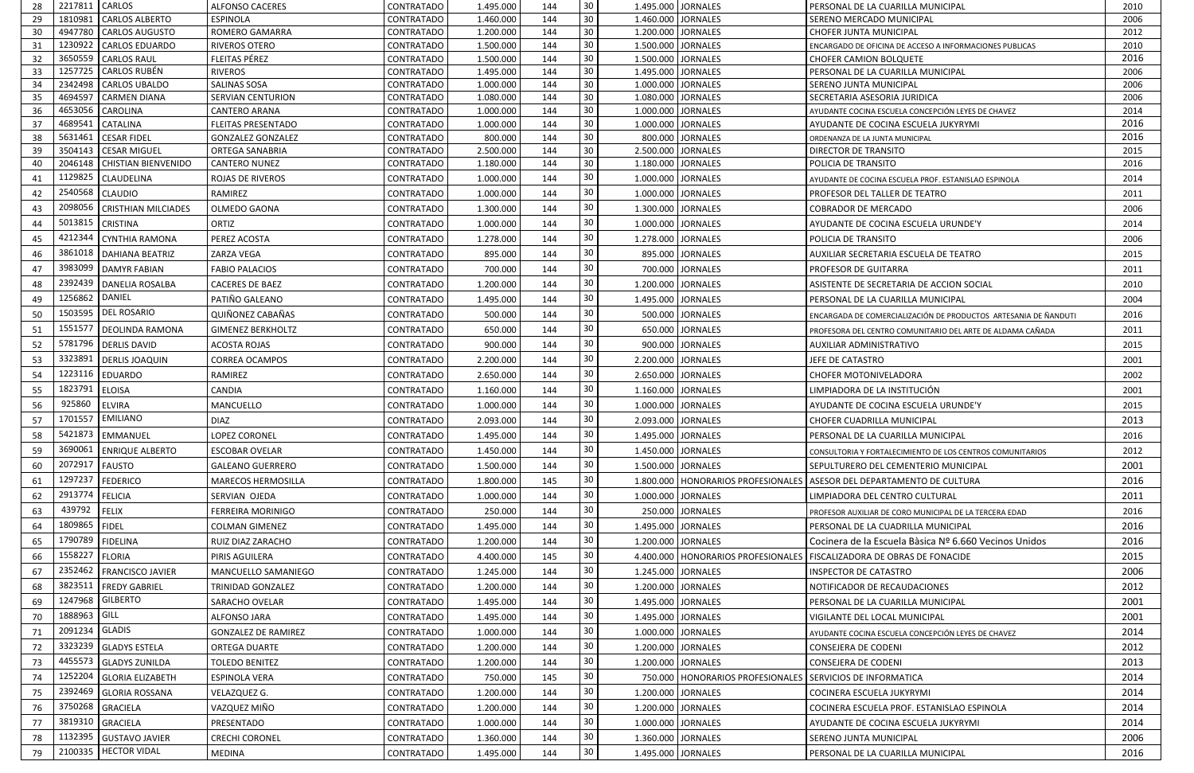| 30<br>1810981 CARLOS ALBERTO<br>144<br>1.460.000 JORNALES<br>29<br><b>ESPINOLA</b><br><b>CONTRATADO</b><br>1.460.000<br>SERENO MERCADO MUNICIPAL<br>30 <sup>°</sup><br>4947780 CARLOS AUGUSTO<br>1.200.000<br>144<br>1.200.000 JORNALES<br>30<br><b>ROMERO GAMARRA</b><br>CONTRATADO<br>CHOFER JUNTA MUNICIPAL<br>30<br>31<br>1230922<br><b>CARLOS EDUARDO</b><br><b>RIVEROS OTERO</b><br><b>CONTRATADO</b><br>1.500.000<br>144<br>1.500.000 JORNALES<br>30<br>3650559<br><b>FLEITAS PÉREZ</b><br><b>CARLOS RAUL</b><br><b>CONTRATADO</b><br>1.500.000<br>144<br>1.500.000<br><b>JORNALES</b><br>32<br><b>CHOFER CAMION BOLQUETE</b><br>$30\,$<br><b>CARLOS RUBÉN</b><br>144<br>33<br>1257725<br><b>RIVEROS</b><br>1.495.000 JORNALES<br>CONTRATADO<br>1.495.000<br>PERSONAL DE LA CUARILLA MUNICIPAL<br>$30\,$<br>2342498<br>144<br><b>JORNALES</b><br>34<br><b>CARLOS UBALDO</b><br><b>SALINAS SOSA</b><br>CONTRATADO<br>1.000.000<br>1.000.000<br>SERENO JUNTA MUNICIPAL<br>30<br>4694597<br>144<br>35<br><b>CARMEN DIANA</b><br>1.080.000<br>1.080.000 JORNALES<br><b>SERVIAN CENTURION</b><br><b>CONTRATADO</b><br><b>SECRETARIA ASESORIA JURIDICA</b><br>30<br>4653056<br>36<br><b>CAROLINA</b><br>144<br>1.000.000 JORNALES<br><b>CANTERO ARANA</b><br><b>CONTRATADO</b><br>1.000.000<br>AYUDANTE COCINA ESCUELA CONCEPCIÓN LEYES DE CHAVEZ<br>$30\,$<br>4689541<br>37<br><b>CATALINA</b><br>144<br>1.000.000 JORNALES<br><b>FLEITAS PRESENTADO</b><br><b>CONTRATADO</b><br>1.000.000<br>AYUDANTE DE COCINA ESCUELA JUKYRYMI<br>30<br>5631461<br><b>CESAR FIDEL</b><br>800.000<br>144<br>800.000 JORNALES<br>38<br><b>CONTRATADO</b><br><b>GONZALEZ GONZALEZ</b><br>ORDENANZA DE LA JUNTA MUNICIPAL<br>30<br><b>CESAR MIGUEL</b><br>144<br>2.500.000 JORNALES<br>-39<br>3504143<br><b>ORTEGA SANABRIA</b><br><b>CONTRATADO</b><br>2.500.000<br><b>DIRECTOR DE TRANSITO</b><br>30<br>2046148<br><b>CHISTIAN BIENVENIDO</b><br>144<br>1.180.000 JORNALES<br>40<br><b>CANTERO NUNEZ</b><br>CONTRATADO<br>1.180.000<br>POLICIA DE TRANSITO<br>30<br>1129825<br><b>CLAUDELINA</b><br>144<br>1.000.000 JORNALES<br>41<br>ROJAS DE RIVEROS<br><b>CONTRATADO</b><br>1.000.000<br>AYUDANTE DE COCINA ESCUELA PROF. ESTANISLAO ESPINOLA<br>30<br>2540568<br><b>CLAUDIO</b><br>144<br>1.000.000 JORNALES<br>RAMIREZ<br>CONTRATADO<br>1.000.000<br>42<br><b>PROFESOR DEL TALLER DE TEATRO</b><br>30<br>2098056<br><b>CRISTHIAN MILCIADES</b><br>144<br>1.300.000 JORNALES<br>OLMEDO GAONA<br>CONTRATADO<br>1.300.000<br>43<br><b>COBRADOR DE MERCADO</b><br>$30\,$<br>5013815<br>144<br>1.000.000 JORNALES<br><b>CRISTINA</b><br>ORTIZ<br>1.000.000<br>44<br><b>CONTRATADO</b><br>AYUDANTE DE COCINA ESCUELA URUNDE'Y<br>30<br>4212344<br><b>CYNTHIA RAMONA</b><br>PEREZ ACOSTA<br>1.278.000<br>144<br>1.278.000 JORNALES<br>45<br><b>CONTRATADO</b><br>POLICIA DE TRANSITO<br>30<br>3861018   DAHIANA BEATRIZ<br>144<br>46<br>895.000 JORNALES<br>ZARZA VEGA<br>CONTRATADO<br>895.000<br>AUXILIAR SECRETARIA ESCUELA DE TEATRO<br>30<br>3983099<br><b>DAMYR FABIAN</b><br>144<br>700.000 JORNALES<br><b>FABIO PALACIOS</b><br><b>CONTRATADO</b><br>700.000<br>47<br><b>PROFESOR DE GUITARRA</b><br>30<br>2392439<br><b>DANELIA ROSALBA</b><br>1.200.000<br>144<br>1.200.000 JORNALES<br>48<br><b>CACERES DE BAEZ</b><br><b>CONTRATADO</b><br>ASISTENTE DE SECRETARIA DE ACCION SOCIAL<br>DANIEL<br>30<br>1256862<br>PATIÑO GALEANO<br>144<br>1.495.000 JORNALES<br>CONTRATADO<br>1.495.000<br>49<br>PERSONAL DE LA CUARILLA MUNICIPAL<br><b>DEL ROSARIO</b><br>1503595<br>30<br>QUIÑONEZ CABAÑAS<br>50<br>500.000<br>500.000 JORNALES<br><b>CONTRATADO</b><br>144<br>30<br>1551577<br><b>DEOLINDA RAMONA</b><br>144<br>650.000 JORNALES<br>51<br><b>GIMENEZ BERKHOLTZ</b><br>CONTRATADO<br>650.000<br>30<br>5781796   DERLIS DAVID<br>900.000<br>900.000 JORNALES<br><b>ACOSTA ROJAS</b><br>144<br>52<br>CONTRATADO<br><b>AUXILIAR ADMINISTRATIVO</b><br>30<br>3323891<br><b>DERLIS JOAQUIN</b><br>144<br>2.200.000 JORNALES<br>53<br><b>CORREA OCAMPOS</b><br>2.200.000<br><b>CONTRATADO</b><br>JEFE DE CATASTRO<br>30<br>1223116<br><b>EDUARDO</b><br>RAMIREZ<br>144<br>2.650.000 JORNALES<br>54<br><b>CONTRATADO</b><br>2.650.000<br><b>CHOFER MOTONIVELADORA</b><br>30<br>1823791<br><b>ELOISA</b><br>CANDIA<br>144<br>1.160.000 JORNALES<br>LIMPIADORA DE LA INSTITUCIÓN<br>55<br>CONTRATADO<br>1.160.000<br>30<br>925860<br><b>ELVIRA</b><br>144<br>1.000.000 JORNALES<br>56<br>MANCUELLO<br>CONTRATADO<br>1.000.000<br>AYUDANTE DE COCINA ESCUELA URUNDE'Y<br><b>EMILIANO</b><br>1701557<br>30<br><b>DIAZ</b><br>2.093.000 JORNALES<br>2.093.000<br>57<br>CONTRATADO<br>144<br><b>CHOFER CUADRILLA MUNICIPAL</b><br>30<br>5421873 EMMANUEL<br>1.495.000 JORNALES<br>58<br><b>LOPEZ CORONEL</b><br>144<br><b>CONTRATADO</b><br>1.495.000<br>PERSONAL DE LA CUARILLA MUNICIPAL<br>30 <sup>°</sup><br>3690061<br><b>ENRIQUE ALBERTO</b><br>CONTRATADO<br>1.450.000 JORNALES<br>59<br><b>ESCOBAR OVELAR</b><br>1.450.000<br>144<br>30<br>2072917<br><b>FAUSTO</b><br>1.500.000 JORNALES<br>60<br><b>GALEANO GUERRERO</b><br><b>CONTRATADO</b><br>1.500.000<br>144<br>SEPULTURERO DEL CEMENTERIO MUNICIPAL<br>$30\,$<br>1297237<br><b>FEDERICO</b><br>1.800.000<br>145<br>1.800.000 HONORARIOS PROFESIONALES ASESOR DEL DEPARTAMENTO DE CULTURA<br><b>MARECOS HERMOSILLA</b><br>CONTRATADO<br>61<br>30<br>2913774<br><b>FELICIA</b><br>62<br>SERVIAN OJEDA<br>CONTRATADO<br>1.000.000<br>144<br>1.000.000 JORNALES<br>LIMPIADORA DEL CENTRO CULTURAL<br>30<br>439792<br><b>FELIX</b><br>144<br>250.000 JORNALES<br>63<br><b>FERREIRA MORINIGO</b><br>CONTRATADO<br>250.000<br>PROFESOR AUXILIAR DE CORO MUNICIPAL DE LA TERCERA EDAD<br>30<br>1809865<br><b>FIDEL</b><br>1.495.000 JORNALES<br>64<br>1.495.000<br>144<br><b>COLMAN GIMENEZ</b><br>CONTRATADO<br>PERSONAL DE LA CUADRILLA MUNICIPAL<br>30<br>1790789<br><b>FIDELINA</b><br>144<br>1.200.000 JORNALES<br>Cocinera de la Escuela Bàsica Nº 6.660 Vecinos Unidos<br>1.200.000<br>65<br>RUIZ DIAZ ZARACHO<br>CONTRATADO<br>$30\,$<br>1558227<br><b>FLORIA</b><br>145<br>4.400.000   HONORARIOS PROFESIONALES   FISCALIZADORA DE OBRAS DE FONACIDE<br>66<br>PIRIS AGUILERA<br>CONTRATADO<br>4.400.000<br>30<br>2352462<br><b>FRANCISCO JAVIER</b><br>67<br><b>MANCUELLO SAMANIEGO</b><br>CONTRATADO<br>1.245.000<br>144<br>1.245.000 JORNALES<br><b>INSPECTOR DE CATASTRO</b><br>30<br>3823511<br>1.200.000 JORNALES<br><b>FREDY GABRIEL</b><br>144<br>68<br>TRINIDAD GONZALEZ<br>CONTRATADO<br>1.200.000<br>NOTIFICADOR DE RECAUDACIONES<br><b>GILBERTO</b><br>30<br>1247968<br>1.495.000 JORNALES<br>69<br>SARACHO OVELAR<br>CONTRATADO<br>1.495.000<br>144<br>PERSONAL DE LA CUARILLA MUNICIPAL<br>1888963 GILL<br>30<br>70<br>144<br>ALFONSO JARA<br>1.495.000 JORNALES<br>CONTRATADO<br>1.495.000<br>VIGILANTE DEL LOCAL MUNICIPAL<br><b>GLADIS</b><br>30<br>2091234<br>144<br>1.000.000 JORNALES<br>71<br><b>GONZALEZ DE RAMIREZ</b><br>CONTRATADO<br>1.000.000<br>AYUDANTE COCINA ESCUELA CONCEPCIÓN LEYES DE CHAVEZ<br>30<br>3323239<br><b>GLADYS ESTELA</b><br>1.200.000 JORNALES<br>72<br>144<br><b>ORTEGA DUARTE</b><br>CONTRATADO<br>1.200.000<br><b>CONSEJERA DE CODENI</b><br>$30\,$<br>4455573<br>73<br>144<br>1.200.000 JORNALES<br><b>GLADYS ZUNILDA</b><br><b>TOLEDO BENITEZ</b><br>CONTRATADO<br>1.200.000<br><b>CONSEJERA DE CODENI</b><br>30<br>1252204<br>74<br><b>GLORIA ELIZABETH</b><br><b>ESPINOLA VERA</b><br>750.000<br>750.000   HONORARIOS PROFESIONALES<br>CONTRATADO<br>145<br><b>SERVICIOS DE INFORMATICA</b><br>$30\,$<br>2392469<br>75<br><b>GLORIA ROSSANA</b><br>144<br>1.200.000 JORNALES<br>VELAZQUEZ G.<br>CONTRATADO<br>1.200.000<br>COCINERA ESCUELA JUKYRYMI<br>30<br>3750268 GRACIELA<br>VAZQUEZ MIÑO<br>1.200.000 JORNALES<br>76<br>CONTRATADO<br>1.200.000<br>144<br>COCINERA ESCUELA PROF. ESTANISLAO ESPINOLA<br>30<br>3819310<br>77<br><b>GRACIELA</b><br>PRESENTADO<br>1.000.000 JORNALES<br>CONTRATADO<br>1.000.000<br>144<br>AYUDANTE DE COCINA ESCUELA JUKYRYMI<br>$30\,$<br>1132395<br><b>GUSTAVO JAVIER</b><br><b>CRECHI CORONEL</b><br>144<br>1.360.000 JORNALES<br>78<br>CONTRATADO<br>1.360.000<br><b>SERENO JUNTA MUNICIPAL</b><br>2100335   HECTOR VIDAL<br>30 <sup>°</sup><br>MEDINA<br>144<br>1.495.000 JORNALES<br>79<br>CONTRATADO<br>1.495.000<br>PERSONAL DE LA CUARILLA MUNICIPAL | 28 | 2217811 CARLOS | <b>ALFONSO CACERES</b> | CONTRATADO | 1.495.000 | 144 | 30 <sup>°</sup> | 1.495.000 JORNALES | PERSONAL DE LA CUARILLA MUNICIPAL                               | 2010         |
|--------------------------------------------------------------------------------------------------------------------------------------------------------------------------------------------------------------------------------------------------------------------------------------------------------------------------------------------------------------------------------------------------------------------------------------------------------------------------------------------------------------------------------------------------------------------------------------------------------------------------------------------------------------------------------------------------------------------------------------------------------------------------------------------------------------------------------------------------------------------------------------------------------------------------------------------------------------------------------------------------------------------------------------------------------------------------------------------------------------------------------------------------------------------------------------------------------------------------------------------------------------------------------------------------------------------------------------------------------------------------------------------------------------------------------------------------------------------------------------------------------------------------------------------------------------------------------------------------------------------------------------------------------------------------------------------------------------------------------------------------------------------------------------------------------------------------------------------------------------------------------------------------------------------------------------------------------------------------------------------------------------------------------------------------------------------------------------------------------------------------------------------------------------------------------------------------------------------------------------------------------------------------------------------------------------------------------------------------------------------------------------------------------------------------------------------------------------------------------------------------------------------------------------------------------------------------------------------------------------------------------------------------------------------------------------------------------------------------------------------------------------------------------------------------------------------------------------------------------------------------------------------------------------------------------------------------------------------------------------------------------------------------------------------------------------------------------------------------------------------------------------------------------------------------------------------------------------------------------------------------------------------------------------------------------------------------------------------------------------------------------------------------------------------------------------------------------------------------------------------------------------------------------------------------------------------------------------------------------------------------------------------------------------------------------------------------------------------------------------------------------------------------------------------------------------------------------------------------------------------------------------------------------------------------------------------------------------------------------------------------------------------------------------------------------------------------------------------------------------------------------------------------------------------------------------------------------------------------------------------------------------------------------------------------------------------------------------------------------------------------------------------------------------------------------------------------------------------------------------------------------------------------------------------------------------------------------------------------------------------------------------------------------------------------------------------------------------------------------------------------------------------------------------------------------------------------------------------------------------------------------------------------------------------------------------------------------------------------------------------------------------------------------------------------------------------------------------------------------------------------------------------------------------------------------------------------------------------------------------------------------------------------------------------------------------------------------------------------------------------------------------------------------------------------------------------------------------------------------------------------------------------------------------------------------------------------------------------------------------------------------------------------------------------------------------------------------------------------------------------------------------------------------------------------------------------------------------------------------------------------------------------------------------------------------------------------------------------------------------------------------------------------------------------------------------------------------------------------------------------------------------------------------------------------------------------------------------------------------------------------------------------------------------------------------------------------------------------------------------------------------------------------------------------------------------------------------------------------------------------------------------------------------------------------------------------------------------------------------------------------------------------------------------------------------------------------------------------------------------------------------------------------------------------------------------------------------------------------------------------------------------------------------------------------------------------------------------------------------------------------------------------------------------------------------------------------------------------------------------------------------------------------------------------------------------------------------------------------------------------------------------------------------------------------------------------------------------------------------------------------------------------------------------------------------------------------------------------------------------------------------------------------------------------------------------------------------------------------------------------------------------------------------------------------------------------------------------------------------------------------------------------------------------------------------------------------------------------------------------------------------------------------------------------------------------------------------------------------------------------------------------------------------------------------------------------------------------------------------------------------------------------------------------------------------------------------------------------------------------------------------------------------------------------------------------------------------------------------------------------------------------------------------------|----|----------------|------------------------|------------|-----------|-----|-----------------|--------------------|-----------------------------------------------------------------|--------------|
|                                                                                                                                                                                                                                                                                                                                                                                                                                                                                                                                                                                                                                                                                                                                                                                                                                                                                                                                                                                                                                                                                                                                                                                                                                                                                                                                                                                                                                                                                                                                                                                                                                                                                                                                                                                                                                                                                                                                                                                                                                                                                                                                                                                                                                                                                                                                                                                                                                                                                                                                                                                                                                                                                                                                                                                                                                                                                                                                                                                                                                                                                                                                                                                                                                                                                                                                                                                                                                                                                                                                                                                                                                                                                                                                                                                                                                                                                                                                                                                                                                                                                                                                                                                                                                                                                                                                                                                                                                                                                                                                                                                                                                                                                                                                                                                                                                                                                                                                                                                                                                                                                                                                                                                                                                                                                                                                                                                                                                                                                                                                                                                                                                                                                                                                                                                                                                                                                                                                                                                                                                                                                                                                                                                                                                                                                                                                                                                                                                                                                                                                                                                                                                                                                                                                                                                                                                                                                                                                                                                                                                                                                                                                                                                                                                                                                                                                                                                                                                                                                                                                                                                                                                                                                                                                                                                                                                                                                                                                                                                                                                                                                                                                                                                                                                                                                                                                                                                                              |    |                |                        |            |           |     |                 |                    |                                                                 | 2006         |
|                                                                                                                                                                                                                                                                                                                                                                                                                                                                                                                                                                                                                                                                                                                                                                                                                                                                                                                                                                                                                                                                                                                                                                                                                                                                                                                                                                                                                                                                                                                                                                                                                                                                                                                                                                                                                                                                                                                                                                                                                                                                                                                                                                                                                                                                                                                                                                                                                                                                                                                                                                                                                                                                                                                                                                                                                                                                                                                                                                                                                                                                                                                                                                                                                                                                                                                                                                                                                                                                                                                                                                                                                                                                                                                                                                                                                                                                                                                                                                                                                                                                                                                                                                                                                                                                                                                                                                                                                                                                                                                                                                                                                                                                                                                                                                                                                                                                                                                                                                                                                                                                                                                                                                                                                                                                                                                                                                                                                                                                                                                                                                                                                                                                                                                                                                                                                                                                                                                                                                                                                                                                                                                                                                                                                                                                                                                                                                                                                                                                                                                                                                                                                                                                                                                                                                                                                                                                                                                                                                                                                                                                                                                                                                                                                                                                                                                                                                                                                                                                                                                                                                                                                                                                                                                                                                                                                                                                                                                                                                                                                                                                                                                                                                                                                                                                                                                                                                                                              |    |                |                        |            |           |     |                 |                    |                                                                 | 2012         |
|                                                                                                                                                                                                                                                                                                                                                                                                                                                                                                                                                                                                                                                                                                                                                                                                                                                                                                                                                                                                                                                                                                                                                                                                                                                                                                                                                                                                                                                                                                                                                                                                                                                                                                                                                                                                                                                                                                                                                                                                                                                                                                                                                                                                                                                                                                                                                                                                                                                                                                                                                                                                                                                                                                                                                                                                                                                                                                                                                                                                                                                                                                                                                                                                                                                                                                                                                                                                                                                                                                                                                                                                                                                                                                                                                                                                                                                                                                                                                                                                                                                                                                                                                                                                                                                                                                                                                                                                                                                                                                                                                                                                                                                                                                                                                                                                                                                                                                                                                                                                                                                                                                                                                                                                                                                                                                                                                                                                                                                                                                                                                                                                                                                                                                                                                                                                                                                                                                                                                                                                                                                                                                                                                                                                                                                                                                                                                                                                                                                                                                                                                                                                                                                                                                                                                                                                                                                                                                                                                                                                                                                                                                                                                                                                                                                                                                                                                                                                                                                                                                                                                                                                                                                                                                                                                                                                                                                                                                                                                                                                                                                                                                                                                                                                                                                                                                                                                                                                              |    |                |                        |            |           |     |                 |                    | ENCARGADO DE OFICINA DE ACCESO A INFORMACIONES PUBLICAS         | 2010         |
|                                                                                                                                                                                                                                                                                                                                                                                                                                                                                                                                                                                                                                                                                                                                                                                                                                                                                                                                                                                                                                                                                                                                                                                                                                                                                                                                                                                                                                                                                                                                                                                                                                                                                                                                                                                                                                                                                                                                                                                                                                                                                                                                                                                                                                                                                                                                                                                                                                                                                                                                                                                                                                                                                                                                                                                                                                                                                                                                                                                                                                                                                                                                                                                                                                                                                                                                                                                                                                                                                                                                                                                                                                                                                                                                                                                                                                                                                                                                                                                                                                                                                                                                                                                                                                                                                                                                                                                                                                                                                                                                                                                                                                                                                                                                                                                                                                                                                                                                                                                                                                                                                                                                                                                                                                                                                                                                                                                                                                                                                                                                                                                                                                                                                                                                                                                                                                                                                                                                                                                                                                                                                                                                                                                                                                                                                                                                                                                                                                                                                                                                                                                                                                                                                                                                                                                                                                                                                                                                                                                                                                                                                                                                                                                                                                                                                                                                                                                                                                                                                                                                                                                                                                                                                                                                                                                                                                                                                                                                                                                                                                                                                                                                                                                                                                                                                                                                                                                                              |    |                |                        |            |           |     |                 |                    |                                                                 | 2016         |
|                                                                                                                                                                                                                                                                                                                                                                                                                                                                                                                                                                                                                                                                                                                                                                                                                                                                                                                                                                                                                                                                                                                                                                                                                                                                                                                                                                                                                                                                                                                                                                                                                                                                                                                                                                                                                                                                                                                                                                                                                                                                                                                                                                                                                                                                                                                                                                                                                                                                                                                                                                                                                                                                                                                                                                                                                                                                                                                                                                                                                                                                                                                                                                                                                                                                                                                                                                                                                                                                                                                                                                                                                                                                                                                                                                                                                                                                                                                                                                                                                                                                                                                                                                                                                                                                                                                                                                                                                                                                                                                                                                                                                                                                                                                                                                                                                                                                                                                                                                                                                                                                                                                                                                                                                                                                                                                                                                                                                                                                                                                                                                                                                                                                                                                                                                                                                                                                                                                                                                                                                                                                                                                                                                                                                                                                                                                                                                                                                                                                                                                                                                                                                                                                                                                                                                                                                                                                                                                                                                                                                                                                                                                                                                                                                                                                                                                                                                                                                                                                                                                                                                                                                                                                                                                                                                                                                                                                                                                                                                                                                                                                                                                                                                                                                                                                                                                                                                                                              |    |                |                        |            |           |     |                 |                    |                                                                 | 2006         |
|                                                                                                                                                                                                                                                                                                                                                                                                                                                                                                                                                                                                                                                                                                                                                                                                                                                                                                                                                                                                                                                                                                                                                                                                                                                                                                                                                                                                                                                                                                                                                                                                                                                                                                                                                                                                                                                                                                                                                                                                                                                                                                                                                                                                                                                                                                                                                                                                                                                                                                                                                                                                                                                                                                                                                                                                                                                                                                                                                                                                                                                                                                                                                                                                                                                                                                                                                                                                                                                                                                                                                                                                                                                                                                                                                                                                                                                                                                                                                                                                                                                                                                                                                                                                                                                                                                                                                                                                                                                                                                                                                                                                                                                                                                                                                                                                                                                                                                                                                                                                                                                                                                                                                                                                                                                                                                                                                                                                                                                                                                                                                                                                                                                                                                                                                                                                                                                                                                                                                                                                                                                                                                                                                                                                                                                                                                                                                                                                                                                                                                                                                                                                                                                                                                                                                                                                                                                                                                                                                                                                                                                                                                                                                                                                                                                                                                                                                                                                                                                                                                                                                                                                                                                                                                                                                                                                                                                                                                                                                                                                                                                                                                                                                                                                                                                                                                                                                                                                              |    |                |                        |            |           |     |                 |                    |                                                                 | 2006         |
|                                                                                                                                                                                                                                                                                                                                                                                                                                                                                                                                                                                                                                                                                                                                                                                                                                                                                                                                                                                                                                                                                                                                                                                                                                                                                                                                                                                                                                                                                                                                                                                                                                                                                                                                                                                                                                                                                                                                                                                                                                                                                                                                                                                                                                                                                                                                                                                                                                                                                                                                                                                                                                                                                                                                                                                                                                                                                                                                                                                                                                                                                                                                                                                                                                                                                                                                                                                                                                                                                                                                                                                                                                                                                                                                                                                                                                                                                                                                                                                                                                                                                                                                                                                                                                                                                                                                                                                                                                                                                                                                                                                                                                                                                                                                                                                                                                                                                                                                                                                                                                                                                                                                                                                                                                                                                                                                                                                                                                                                                                                                                                                                                                                                                                                                                                                                                                                                                                                                                                                                                                                                                                                                                                                                                                                                                                                                                                                                                                                                                                                                                                                                                                                                                                                                                                                                                                                                                                                                                                                                                                                                                                                                                                                                                                                                                                                                                                                                                                                                                                                                                                                                                                                                                                                                                                                                                                                                                                                                                                                                                                                                                                                                                                                                                                                                                                                                                                                                              |    |                |                        |            |           |     |                 |                    |                                                                 | 2006<br>2014 |
|                                                                                                                                                                                                                                                                                                                                                                                                                                                                                                                                                                                                                                                                                                                                                                                                                                                                                                                                                                                                                                                                                                                                                                                                                                                                                                                                                                                                                                                                                                                                                                                                                                                                                                                                                                                                                                                                                                                                                                                                                                                                                                                                                                                                                                                                                                                                                                                                                                                                                                                                                                                                                                                                                                                                                                                                                                                                                                                                                                                                                                                                                                                                                                                                                                                                                                                                                                                                                                                                                                                                                                                                                                                                                                                                                                                                                                                                                                                                                                                                                                                                                                                                                                                                                                                                                                                                                                                                                                                                                                                                                                                                                                                                                                                                                                                                                                                                                                                                                                                                                                                                                                                                                                                                                                                                                                                                                                                                                                                                                                                                                                                                                                                                                                                                                                                                                                                                                                                                                                                                                                                                                                                                                                                                                                                                                                                                                                                                                                                                                                                                                                                                                                                                                                                                                                                                                                                                                                                                                                                                                                                                                                                                                                                                                                                                                                                                                                                                                                                                                                                                                                                                                                                                                                                                                                                                                                                                                                                                                                                                                                                                                                                                                                                                                                                                                                                                                                                                              |    |                |                        |            |           |     |                 |                    |                                                                 | 2016         |
|                                                                                                                                                                                                                                                                                                                                                                                                                                                                                                                                                                                                                                                                                                                                                                                                                                                                                                                                                                                                                                                                                                                                                                                                                                                                                                                                                                                                                                                                                                                                                                                                                                                                                                                                                                                                                                                                                                                                                                                                                                                                                                                                                                                                                                                                                                                                                                                                                                                                                                                                                                                                                                                                                                                                                                                                                                                                                                                                                                                                                                                                                                                                                                                                                                                                                                                                                                                                                                                                                                                                                                                                                                                                                                                                                                                                                                                                                                                                                                                                                                                                                                                                                                                                                                                                                                                                                                                                                                                                                                                                                                                                                                                                                                                                                                                                                                                                                                                                                                                                                                                                                                                                                                                                                                                                                                                                                                                                                                                                                                                                                                                                                                                                                                                                                                                                                                                                                                                                                                                                                                                                                                                                                                                                                                                                                                                                                                                                                                                                                                                                                                                                                                                                                                                                                                                                                                                                                                                                                                                                                                                                                                                                                                                                                                                                                                                                                                                                                                                                                                                                                                                                                                                                                                                                                                                                                                                                                                                                                                                                                                                                                                                                                                                                                                                                                                                                                                                                              |    |                |                        |            |           |     |                 |                    |                                                                 | 2016         |
|                                                                                                                                                                                                                                                                                                                                                                                                                                                                                                                                                                                                                                                                                                                                                                                                                                                                                                                                                                                                                                                                                                                                                                                                                                                                                                                                                                                                                                                                                                                                                                                                                                                                                                                                                                                                                                                                                                                                                                                                                                                                                                                                                                                                                                                                                                                                                                                                                                                                                                                                                                                                                                                                                                                                                                                                                                                                                                                                                                                                                                                                                                                                                                                                                                                                                                                                                                                                                                                                                                                                                                                                                                                                                                                                                                                                                                                                                                                                                                                                                                                                                                                                                                                                                                                                                                                                                                                                                                                                                                                                                                                                                                                                                                                                                                                                                                                                                                                                                                                                                                                                                                                                                                                                                                                                                                                                                                                                                                                                                                                                                                                                                                                                                                                                                                                                                                                                                                                                                                                                                                                                                                                                                                                                                                                                                                                                                                                                                                                                                                                                                                                                                                                                                                                                                                                                                                                                                                                                                                                                                                                                                                                                                                                                                                                                                                                                                                                                                                                                                                                                                                                                                                                                                                                                                                                                                                                                                                                                                                                                                                                                                                                                                                                                                                                                                                                                                                                                              |    |                |                        |            |           |     |                 |                    |                                                                 | 2015         |
|                                                                                                                                                                                                                                                                                                                                                                                                                                                                                                                                                                                                                                                                                                                                                                                                                                                                                                                                                                                                                                                                                                                                                                                                                                                                                                                                                                                                                                                                                                                                                                                                                                                                                                                                                                                                                                                                                                                                                                                                                                                                                                                                                                                                                                                                                                                                                                                                                                                                                                                                                                                                                                                                                                                                                                                                                                                                                                                                                                                                                                                                                                                                                                                                                                                                                                                                                                                                                                                                                                                                                                                                                                                                                                                                                                                                                                                                                                                                                                                                                                                                                                                                                                                                                                                                                                                                                                                                                                                                                                                                                                                                                                                                                                                                                                                                                                                                                                                                                                                                                                                                                                                                                                                                                                                                                                                                                                                                                                                                                                                                                                                                                                                                                                                                                                                                                                                                                                                                                                                                                                                                                                                                                                                                                                                                                                                                                                                                                                                                                                                                                                                                                                                                                                                                                                                                                                                                                                                                                                                                                                                                                                                                                                                                                                                                                                                                                                                                                                                                                                                                                                                                                                                                                                                                                                                                                                                                                                                                                                                                                                                                                                                                                                                                                                                                                                                                                                                                              |    |                |                        |            |           |     |                 |                    |                                                                 | 2016         |
|                                                                                                                                                                                                                                                                                                                                                                                                                                                                                                                                                                                                                                                                                                                                                                                                                                                                                                                                                                                                                                                                                                                                                                                                                                                                                                                                                                                                                                                                                                                                                                                                                                                                                                                                                                                                                                                                                                                                                                                                                                                                                                                                                                                                                                                                                                                                                                                                                                                                                                                                                                                                                                                                                                                                                                                                                                                                                                                                                                                                                                                                                                                                                                                                                                                                                                                                                                                                                                                                                                                                                                                                                                                                                                                                                                                                                                                                                                                                                                                                                                                                                                                                                                                                                                                                                                                                                                                                                                                                                                                                                                                                                                                                                                                                                                                                                                                                                                                                                                                                                                                                                                                                                                                                                                                                                                                                                                                                                                                                                                                                                                                                                                                                                                                                                                                                                                                                                                                                                                                                                                                                                                                                                                                                                                                                                                                                                                                                                                                                                                                                                                                                                                                                                                                                                                                                                                                                                                                                                                                                                                                                                                                                                                                                                                                                                                                                                                                                                                                                                                                                                                                                                                                                                                                                                                                                                                                                                                                                                                                                                                                                                                                                                                                                                                                                                                                                                                                                              |    |                |                        |            |           |     |                 |                    |                                                                 | 2014         |
|                                                                                                                                                                                                                                                                                                                                                                                                                                                                                                                                                                                                                                                                                                                                                                                                                                                                                                                                                                                                                                                                                                                                                                                                                                                                                                                                                                                                                                                                                                                                                                                                                                                                                                                                                                                                                                                                                                                                                                                                                                                                                                                                                                                                                                                                                                                                                                                                                                                                                                                                                                                                                                                                                                                                                                                                                                                                                                                                                                                                                                                                                                                                                                                                                                                                                                                                                                                                                                                                                                                                                                                                                                                                                                                                                                                                                                                                                                                                                                                                                                                                                                                                                                                                                                                                                                                                                                                                                                                                                                                                                                                                                                                                                                                                                                                                                                                                                                                                                                                                                                                                                                                                                                                                                                                                                                                                                                                                                                                                                                                                                                                                                                                                                                                                                                                                                                                                                                                                                                                                                                                                                                                                                                                                                                                                                                                                                                                                                                                                                                                                                                                                                                                                                                                                                                                                                                                                                                                                                                                                                                                                                                                                                                                                                                                                                                                                                                                                                                                                                                                                                                                                                                                                                                                                                                                                                                                                                                                                                                                                                                                                                                                                                                                                                                                                                                                                                                                                              |    |                |                        |            |           |     |                 |                    |                                                                 | 2011         |
|                                                                                                                                                                                                                                                                                                                                                                                                                                                                                                                                                                                                                                                                                                                                                                                                                                                                                                                                                                                                                                                                                                                                                                                                                                                                                                                                                                                                                                                                                                                                                                                                                                                                                                                                                                                                                                                                                                                                                                                                                                                                                                                                                                                                                                                                                                                                                                                                                                                                                                                                                                                                                                                                                                                                                                                                                                                                                                                                                                                                                                                                                                                                                                                                                                                                                                                                                                                                                                                                                                                                                                                                                                                                                                                                                                                                                                                                                                                                                                                                                                                                                                                                                                                                                                                                                                                                                                                                                                                                                                                                                                                                                                                                                                                                                                                                                                                                                                                                                                                                                                                                                                                                                                                                                                                                                                                                                                                                                                                                                                                                                                                                                                                                                                                                                                                                                                                                                                                                                                                                                                                                                                                                                                                                                                                                                                                                                                                                                                                                                                                                                                                                                                                                                                                                                                                                                                                                                                                                                                                                                                                                                                                                                                                                                                                                                                                                                                                                                                                                                                                                                                                                                                                                                                                                                                                                                                                                                                                                                                                                                                                                                                                                                                                                                                                                                                                                                                                                              |    |                |                        |            |           |     |                 |                    |                                                                 | 2006         |
|                                                                                                                                                                                                                                                                                                                                                                                                                                                                                                                                                                                                                                                                                                                                                                                                                                                                                                                                                                                                                                                                                                                                                                                                                                                                                                                                                                                                                                                                                                                                                                                                                                                                                                                                                                                                                                                                                                                                                                                                                                                                                                                                                                                                                                                                                                                                                                                                                                                                                                                                                                                                                                                                                                                                                                                                                                                                                                                                                                                                                                                                                                                                                                                                                                                                                                                                                                                                                                                                                                                                                                                                                                                                                                                                                                                                                                                                                                                                                                                                                                                                                                                                                                                                                                                                                                                                                                                                                                                                                                                                                                                                                                                                                                                                                                                                                                                                                                                                                                                                                                                                                                                                                                                                                                                                                                                                                                                                                                                                                                                                                                                                                                                                                                                                                                                                                                                                                                                                                                                                                                                                                                                                                                                                                                                                                                                                                                                                                                                                                                                                                                                                                                                                                                                                                                                                                                                                                                                                                                                                                                                                                                                                                                                                                                                                                                                                                                                                                                                                                                                                                                                                                                                                                                                                                                                                                                                                                                                                                                                                                                                                                                                                                                                                                                                                                                                                                                                                              |    |                |                        |            |           |     |                 |                    |                                                                 | 2014         |
|                                                                                                                                                                                                                                                                                                                                                                                                                                                                                                                                                                                                                                                                                                                                                                                                                                                                                                                                                                                                                                                                                                                                                                                                                                                                                                                                                                                                                                                                                                                                                                                                                                                                                                                                                                                                                                                                                                                                                                                                                                                                                                                                                                                                                                                                                                                                                                                                                                                                                                                                                                                                                                                                                                                                                                                                                                                                                                                                                                                                                                                                                                                                                                                                                                                                                                                                                                                                                                                                                                                                                                                                                                                                                                                                                                                                                                                                                                                                                                                                                                                                                                                                                                                                                                                                                                                                                                                                                                                                                                                                                                                                                                                                                                                                                                                                                                                                                                                                                                                                                                                                                                                                                                                                                                                                                                                                                                                                                                                                                                                                                                                                                                                                                                                                                                                                                                                                                                                                                                                                                                                                                                                                                                                                                                                                                                                                                                                                                                                                                                                                                                                                                                                                                                                                                                                                                                                                                                                                                                                                                                                                                                                                                                                                                                                                                                                                                                                                                                                                                                                                                                                                                                                                                                                                                                                                                                                                                                                                                                                                                                                                                                                                                                                                                                                                                                                                                                                                              |    |                |                        |            |           |     |                 |                    |                                                                 | 2006         |
|                                                                                                                                                                                                                                                                                                                                                                                                                                                                                                                                                                                                                                                                                                                                                                                                                                                                                                                                                                                                                                                                                                                                                                                                                                                                                                                                                                                                                                                                                                                                                                                                                                                                                                                                                                                                                                                                                                                                                                                                                                                                                                                                                                                                                                                                                                                                                                                                                                                                                                                                                                                                                                                                                                                                                                                                                                                                                                                                                                                                                                                                                                                                                                                                                                                                                                                                                                                                                                                                                                                                                                                                                                                                                                                                                                                                                                                                                                                                                                                                                                                                                                                                                                                                                                                                                                                                                                                                                                                                                                                                                                                                                                                                                                                                                                                                                                                                                                                                                                                                                                                                                                                                                                                                                                                                                                                                                                                                                                                                                                                                                                                                                                                                                                                                                                                                                                                                                                                                                                                                                                                                                                                                                                                                                                                                                                                                                                                                                                                                                                                                                                                                                                                                                                                                                                                                                                                                                                                                                                                                                                                                                                                                                                                                                                                                                                                                                                                                                                                                                                                                                                                                                                                                                                                                                                                                                                                                                                                                                                                                                                                                                                                                                                                                                                                                                                                                                                                                              |    |                |                        |            |           |     |                 |                    |                                                                 |              |
|                                                                                                                                                                                                                                                                                                                                                                                                                                                                                                                                                                                                                                                                                                                                                                                                                                                                                                                                                                                                                                                                                                                                                                                                                                                                                                                                                                                                                                                                                                                                                                                                                                                                                                                                                                                                                                                                                                                                                                                                                                                                                                                                                                                                                                                                                                                                                                                                                                                                                                                                                                                                                                                                                                                                                                                                                                                                                                                                                                                                                                                                                                                                                                                                                                                                                                                                                                                                                                                                                                                                                                                                                                                                                                                                                                                                                                                                                                                                                                                                                                                                                                                                                                                                                                                                                                                                                                                                                                                                                                                                                                                                                                                                                                                                                                                                                                                                                                                                                                                                                                                                                                                                                                                                                                                                                                                                                                                                                                                                                                                                                                                                                                                                                                                                                                                                                                                                                                                                                                                                                                                                                                                                                                                                                                                                                                                                                                                                                                                                                                                                                                                                                                                                                                                                                                                                                                                                                                                                                                                                                                                                                                                                                                                                                                                                                                                                                                                                                                                                                                                                                                                                                                                                                                                                                                                                                                                                                                                                                                                                                                                                                                                                                                                                                                                                                                                                                                                                              |    |                |                        |            |           |     |                 |                    |                                                                 | 2015         |
|                                                                                                                                                                                                                                                                                                                                                                                                                                                                                                                                                                                                                                                                                                                                                                                                                                                                                                                                                                                                                                                                                                                                                                                                                                                                                                                                                                                                                                                                                                                                                                                                                                                                                                                                                                                                                                                                                                                                                                                                                                                                                                                                                                                                                                                                                                                                                                                                                                                                                                                                                                                                                                                                                                                                                                                                                                                                                                                                                                                                                                                                                                                                                                                                                                                                                                                                                                                                                                                                                                                                                                                                                                                                                                                                                                                                                                                                                                                                                                                                                                                                                                                                                                                                                                                                                                                                                                                                                                                                                                                                                                                                                                                                                                                                                                                                                                                                                                                                                                                                                                                                                                                                                                                                                                                                                                                                                                                                                                                                                                                                                                                                                                                                                                                                                                                                                                                                                                                                                                                                                                                                                                                                                                                                                                                                                                                                                                                                                                                                                                                                                                                                                                                                                                                                                                                                                                                                                                                                                                                                                                                                                                                                                                                                                                                                                                                                                                                                                                                                                                                                                                                                                                                                                                                                                                                                                                                                                                                                                                                                                                                                                                                                                                                                                                                                                                                                                                                                              |    |                |                        |            |           |     |                 |                    |                                                                 | 2011         |
|                                                                                                                                                                                                                                                                                                                                                                                                                                                                                                                                                                                                                                                                                                                                                                                                                                                                                                                                                                                                                                                                                                                                                                                                                                                                                                                                                                                                                                                                                                                                                                                                                                                                                                                                                                                                                                                                                                                                                                                                                                                                                                                                                                                                                                                                                                                                                                                                                                                                                                                                                                                                                                                                                                                                                                                                                                                                                                                                                                                                                                                                                                                                                                                                                                                                                                                                                                                                                                                                                                                                                                                                                                                                                                                                                                                                                                                                                                                                                                                                                                                                                                                                                                                                                                                                                                                                                                                                                                                                                                                                                                                                                                                                                                                                                                                                                                                                                                                                                                                                                                                                                                                                                                                                                                                                                                                                                                                                                                                                                                                                                                                                                                                                                                                                                                                                                                                                                                                                                                                                                                                                                                                                                                                                                                                                                                                                                                                                                                                                                                                                                                                                                                                                                                                                                                                                                                                                                                                                                                                                                                                                                                                                                                                                                                                                                                                                                                                                                                                                                                                                                                                                                                                                                                                                                                                                                                                                                                                                                                                                                                                                                                                                                                                                                                                                                                                                                                                                              |    |                |                        |            |           |     |                 |                    |                                                                 | 2010         |
|                                                                                                                                                                                                                                                                                                                                                                                                                                                                                                                                                                                                                                                                                                                                                                                                                                                                                                                                                                                                                                                                                                                                                                                                                                                                                                                                                                                                                                                                                                                                                                                                                                                                                                                                                                                                                                                                                                                                                                                                                                                                                                                                                                                                                                                                                                                                                                                                                                                                                                                                                                                                                                                                                                                                                                                                                                                                                                                                                                                                                                                                                                                                                                                                                                                                                                                                                                                                                                                                                                                                                                                                                                                                                                                                                                                                                                                                                                                                                                                                                                                                                                                                                                                                                                                                                                                                                                                                                                                                                                                                                                                                                                                                                                                                                                                                                                                                                                                                                                                                                                                                                                                                                                                                                                                                                                                                                                                                                                                                                                                                                                                                                                                                                                                                                                                                                                                                                                                                                                                                                                                                                                                                                                                                                                                                                                                                                                                                                                                                                                                                                                                                                                                                                                                                                                                                                                                                                                                                                                                                                                                                                                                                                                                                                                                                                                                                                                                                                                                                                                                                                                                                                                                                                                                                                                                                                                                                                                                                                                                                                                                                                                                                                                                                                                                                                                                                                                                                              |    |                |                        |            |           |     |                 |                    |                                                                 | 2004         |
|                                                                                                                                                                                                                                                                                                                                                                                                                                                                                                                                                                                                                                                                                                                                                                                                                                                                                                                                                                                                                                                                                                                                                                                                                                                                                                                                                                                                                                                                                                                                                                                                                                                                                                                                                                                                                                                                                                                                                                                                                                                                                                                                                                                                                                                                                                                                                                                                                                                                                                                                                                                                                                                                                                                                                                                                                                                                                                                                                                                                                                                                                                                                                                                                                                                                                                                                                                                                                                                                                                                                                                                                                                                                                                                                                                                                                                                                                                                                                                                                                                                                                                                                                                                                                                                                                                                                                                                                                                                                                                                                                                                                                                                                                                                                                                                                                                                                                                                                                                                                                                                                                                                                                                                                                                                                                                                                                                                                                                                                                                                                                                                                                                                                                                                                                                                                                                                                                                                                                                                                                                                                                                                                                                                                                                                                                                                                                                                                                                                                                                                                                                                                                                                                                                                                                                                                                                                                                                                                                                                                                                                                                                                                                                                                                                                                                                                                                                                                                                                                                                                                                                                                                                                                                                                                                                                                                                                                                                                                                                                                                                                                                                                                                                                                                                                                                                                                                                                                              |    |                |                        |            |           |     |                 |                    | ENCARGADA DE COMERCIALIZACIÓN DE PRODUCTOS ARTESANIA DE ÑANDUTI | 2016         |
|                                                                                                                                                                                                                                                                                                                                                                                                                                                                                                                                                                                                                                                                                                                                                                                                                                                                                                                                                                                                                                                                                                                                                                                                                                                                                                                                                                                                                                                                                                                                                                                                                                                                                                                                                                                                                                                                                                                                                                                                                                                                                                                                                                                                                                                                                                                                                                                                                                                                                                                                                                                                                                                                                                                                                                                                                                                                                                                                                                                                                                                                                                                                                                                                                                                                                                                                                                                                                                                                                                                                                                                                                                                                                                                                                                                                                                                                                                                                                                                                                                                                                                                                                                                                                                                                                                                                                                                                                                                                                                                                                                                                                                                                                                                                                                                                                                                                                                                                                                                                                                                                                                                                                                                                                                                                                                                                                                                                                                                                                                                                                                                                                                                                                                                                                                                                                                                                                                                                                                                                                                                                                                                                                                                                                                                                                                                                                                                                                                                                                                                                                                                                                                                                                                                                                                                                                                                                                                                                                                                                                                                                                                                                                                                                                                                                                                                                                                                                                                                                                                                                                                                                                                                                                                                                                                                                                                                                                                                                                                                                                                                                                                                                                                                                                                                                                                                                                                                                              |    |                |                        |            |           |     |                 |                    | PROFESORA DEL CENTRO COMUNITARIO DEL ARTE DE ALDAMA CAÑADA      | 2011         |
|                                                                                                                                                                                                                                                                                                                                                                                                                                                                                                                                                                                                                                                                                                                                                                                                                                                                                                                                                                                                                                                                                                                                                                                                                                                                                                                                                                                                                                                                                                                                                                                                                                                                                                                                                                                                                                                                                                                                                                                                                                                                                                                                                                                                                                                                                                                                                                                                                                                                                                                                                                                                                                                                                                                                                                                                                                                                                                                                                                                                                                                                                                                                                                                                                                                                                                                                                                                                                                                                                                                                                                                                                                                                                                                                                                                                                                                                                                                                                                                                                                                                                                                                                                                                                                                                                                                                                                                                                                                                                                                                                                                                                                                                                                                                                                                                                                                                                                                                                                                                                                                                                                                                                                                                                                                                                                                                                                                                                                                                                                                                                                                                                                                                                                                                                                                                                                                                                                                                                                                                                                                                                                                                                                                                                                                                                                                                                                                                                                                                                                                                                                                                                                                                                                                                                                                                                                                                                                                                                                                                                                                                                                                                                                                                                                                                                                                                                                                                                                                                                                                                                                                                                                                                                                                                                                                                                                                                                                                                                                                                                                                                                                                                                                                                                                                                                                                                                                                                              |    |                |                        |            |           |     |                 |                    |                                                                 | 2015         |
|                                                                                                                                                                                                                                                                                                                                                                                                                                                                                                                                                                                                                                                                                                                                                                                                                                                                                                                                                                                                                                                                                                                                                                                                                                                                                                                                                                                                                                                                                                                                                                                                                                                                                                                                                                                                                                                                                                                                                                                                                                                                                                                                                                                                                                                                                                                                                                                                                                                                                                                                                                                                                                                                                                                                                                                                                                                                                                                                                                                                                                                                                                                                                                                                                                                                                                                                                                                                                                                                                                                                                                                                                                                                                                                                                                                                                                                                                                                                                                                                                                                                                                                                                                                                                                                                                                                                                                                                                                                                                                                                                                                                                                                                                                                                                                                                                                                                                                                                                                                                                                                                                                                                                                                                                                                                                                                                                                                                                                                                                                                                                                                                                                                                                                                                                                                                                                                                                                                                                                                                                                                                                                                                                                                                                                                                                                                                                                                                                                                                                                                                                                                                                                                                                                                                                                                                                                                                                                                                                                                                                                                                                                                                                                                                                                                                                                                                                                                                                                                                                                                                                                                                                                                                                                                                                                                                                                                                                                                                                                                                                                                                                                                                                                                                                                                                                                                                                                                                              |    |                |                        |            |           |     |                 |                    |                                                                 | 2001         |
|                                                                                                                                                                                                                                                                                                                                                                                                                                                                                                                                                                                                                                                                                                                                                                                                                                                                                                                                                                                                                                                                                                                                                                                                                                                                                                                                                                                                                                                                                                                                                                                                                                                                                                                                                                                                                                                                                                                                                                                                                                                                                                                                                                                                                                                                                                                                                                                                                                                                                                                                                                                                                                                                                                                                                                                                                                                                                                                                                                                                                                                                                                                                                                                                                                                                                                                                                                                                                                                                                                                                                                                                                                                                                                                                                                                                                                                                                                                                                                                                                                                                                                                                                                                                                                                                                                                                                                                                                                                                                                                                                                                                                                                                                                                                                                                                                                                                                                                                                                                                                                                                                                                                                                                                                                                                                                                                                                                                                                                                                                                                                                                                                                                                                                                                                                                                                                                                                                                                                                                                                                                                                                                                                                                                                                                                                                                                                                                                                                                                                                                                                                                                                                                                                                                                                                                                                                                                                                                                                                                                                                                                                                                                                                                                                                                                                                                                                                                                                                                                                                                                                                                                                                                                                                                                                                                                                                                                                                                                                                                                                                                                                                                                                                                                                                                                                                                                                                                                              |    |                |                        |            |           |     |                 |                    |                                                                 | 2002         |
|                                                                                                                                                                                                                                                                                                                                                                                                                                                                                                                                                                                                                                                                                                                                                                                                                                                                                                                                                                                                                                                                                                                                                                                                                                                                                                                                                                                                                                                                                                                                                                                                                                                                                                                                                                                                                                                                                                                                                                                                                                                                                                                                                                                                                                                                                                                                                                                                                                                                                                                                                                                                                                                                                                                                                                                                                                                                                                                                                                                                                                                                                                                                                                                                                                                                                                                                                                                                                                                                                                                                                                                                                                                                                                                                                                                                                                                                                                                                                                                                                                                                                                                                                                                                                                                                                                                                                                                                                                                                                                                                                                                                                                                                                                                                                                                                                                                                                                                                                                                                                                                                                                                                                                                                                                                                                                                                                                                                                                                                                                                                                                                                                                                                                                                                                                                                                                                                                                                                                                                                                                                                                                                                                                                                                                                                                                                                                                                                                                                                                                                                                                                                                                                                                                                                                                                                                                                                                                                                                                                                                                                                                                                                                                                                                                                                                                                                                                                                                                                                                                                                                                                                                                                                                                                                                                                                                                                                                                                                                                                                                                                                                                                                                                                                                                                                                                                                                                                                              |    |                |                        |            |           |     |                 |                    |                                                                 | 2001         |
|                                                                                                                                                                                                                                                                                                                                                                                                                                                                                                                                                                                                                                                                                                                                                                                                                                                                                                                                                                                                                                                                                                                                                                                                                                                                                                                                                                                                                                                                                                                                                                                                                                                                                                                                                                                                                                                                                                                                                                                                                                                                                                                                                                                                                                                                                                                                                                                                                                                                                                                                                                                                                                                                                                                                                                                                                                                                                                                                                                                                                                                                                                                                                                                                                                                                                                                                                                                                                                                                                                                                                                                                                                                                                                                                                                                                                                                                                                                                                                                                                                                                                                                                                                                                                                                                                                                                                                                                                                                                                                                                                                                                                                                                                                                                                                                                                                                                                                                                                                                                                                                                                                                                                                                                                                                                                                                                                                                                                                                                                                                                                                                                                                                                                                                                                                                                                                                                                                                                                                                                                                                                                                                                                                                                                                                                                                                                                                                                                                                                                                                                                                                                                                                                                                                                                                                                                                                                                                                                                                                                                                                                                                                                                                                                                                                                                                                                                                                                                                                                                                                                                                                                                                                                                                                                                                                                                                                                                                                                                                                                                                                                                                                                                                                                                                                                                                                                                                                                              |    |                |                        |            |           |     |                 |                    |                                                                 | 2015         |
|                                                                                                                                                                                                                                                                                                                                                                                                                                                                                                                                                                                                                                                                                                                                                                                                                                                                                                                                                                                                                                                                                                                                                                                                                                                                                                                                                                                                                                                                                                                                                                                                                                                                                                                                                                                                                                                                                                                                                                                                                                                                                                                                                                                                                                                                                                                                                                                                                                                                                                                                                                                                                                                                                                                                                                                                                                                                                                                                                                                                                                                                                                                                                                                                                                                                                                                                                                                                                                                                                                                                                                                                                                                                                                                                                                                                                                                                                                                                                                                                                                                                                                                                                                                                                                                                                                                                                                                                                                                                                                                                                                                                                                                                                                                                                                                                                                                                                                                                                                                                                                                                                                                                                                                                                                                                                                                                                                                                                                                                                                                                                                                                                                                                                                                                                                                                                                                                                                                                                                                                                                                                                                                                                                                                                                                                                                                                                                                                                                                                                                                                                                                                                                                                                                                                                                                                                                                                                                                                                                                                                                                                                                                                                                                                                                                                                                                                                                                                                                                                                                                                                                                                                                                                                                                                                                                                                                                                                                                                                                                                                                                                                                                                                                                                                                                                                                                                                                                                              |    |                |                        |            |           |     |                 |                    |                                                                 | 2013         |
|                                                                                                                                                                                                                                                                                                                                                                                                                                                                                                                                                                                                                                                                                                                                                                                                                                                                                                                                                                                                                                                                                                                                                                                                                                                                                                                                                                                                                                                                                                                                                                                                                                                                                                                                                                                                                                                                                                                                                                                                                                                                                                                                                                                                                                                                                                                                                                                                                                                                                                                                                                                                                                                                                                                                                                                                                                                                                                                                                                                                                                                                                                                                                                                                                                                                                                                                                                                                                                                                                                                                                                                                                                                                                                                                                                                                                                                                                                                                                                                                                                                                                                                                                                                                                                                                                                                                                                                                                                                                                                                                                                                                                                                                                                                                                                                                                                                                                                                                                                                                                                                                                                                                                                                                                                                                                                                                                                                                                                                                                                                                                                                                                                                                                                                                                                                                                                                                                                                                                                                                                                                                                                                                                                                                                                                                                                                                                                                                                                                                                                                                                                                                                                                                                                                                                                                                                                                                                                                                                                                                                                                                                                                                                                                                                                                                                                                                                                                                                                                                                                                                                                                                                                                                                                                                                                                                                                                                                                                                                                                                                                                                                                                                                                                                                                                                                                                                                                                                              |    |                |                        |            |           |     |                 |                    |                                                                 | 2016         |
|                                                                                                                                                                                                                                                                                                                                                                                                                                                                                                                                                                                                                                                                                                                                                                                                                                                                                                                                                                                                                                                                                                                                                                                                                                                                                                                                                                                                                                                                                                                                                                                                                                                                                                                                                                                                                                                                                                                                                                                                                                                                                                                                                                                                                                                                                                                                                                                                                                                                                                                                                                                                                                                                                                                                                                                                                                                                                                                                                                                                                                                                                                                                                                                                                                                                                                                                                                                                                                                                                                                                                                                                                                                                                                                                                                                                                                                                                                                                                                                                                                                                                                                                                                                                                                                                                                                                                                                                                                                                                                                                                                                                                                                                                                                                                                                                                                                                                                                                                                                                                                                                                                                                                                                                                                                                                                                                                                                                                                                                                                                                                                                                                                                                                                                                                                                                                                                                                                                                                                                                                                                                                                                                                                                                                                                                                                                                                                                                                                                                                                                                                                                                                                                                                                                                                                                                                                                                                                                                                                                                                                                                                                                                                                                                                                                                                                                                                                                                                                                                                                                                                                                                                                                                                                                                                                                                                                                                                                                                                                                                                                                                                                                                                                                                                                                                                                                                                                                                              |    |                |                        |            |           |     |                 |                    | CONSULTORIA Y FORTALECIMIENTO DE LOS CENTROS COMUNITARIOS       | 2012         |
|                                                                                                                                                                                                                                                                                                                                                                                                                                                                                                                                                                                                                                                                                                                                                                                                                                                                                                                                                                                                                                                                                                                                                                                                                                                                                                                                                                                                                                                                                                                                                                                                                                                                                                                                                                                                                                                                                                                                                                                                                                                                                                                                                                                                                                                                                                                                                                                                                                                                                                                                                                                                                                                                                                                                                                                                                                                                                                                                                                                                                                                                                                                                                                                                                                                                                                                                                                                                                                                                                                                                                                                                                                                                                                                                                                                                                                                                                                                                                                                                                                                                                                                                                                                                                                                                                                                                                                                                                                                                                                                                                                                                                                                                                                                                                                                                                                                                                                                                                                                                                                                                                                                                                                                                                                                                                                                                                                                                                                                                                                                                                                                                                                                                                                                                                                                                                                                                                                                                                                                                                                                                                                                                                                                                                                                                                                                                                                                                                                                                                                                                                                                                                                                                                                                                                                                                                                                                                                                                                                                                                                                                                                                                                                                                                                                                                                                                                                                                                                                                                                                                                                                                                                                                                                                                                                                                                                                                                                                                                                                                                                                                                                                                                                                                                                                                                                                                                                                                              |    |                |                        |            |           |     |                 |                    |                                                                 | 2001         |
|                                                                                                                                                                                                                                                                                                                                                                                                                                                                                                                                                                                                                                                                                                                                                                                                                                                                                                                                                                                                                                                                                                                                                                                                                                                                                                                                                                                                                                                                                                                                                                                                                                                                                                                                                                                                                                                                                                                                                                                                                                                                                                                                                                                                                                                                                                                                                                                                                                                                                                                                                                                                                                                                                                                                                                                                                                                                                                                                                                                                                                                                                                                                                                                                                                                                                                                                                                                                                                                                                                                                                                                                                                                                                                                                                                                                                                                                                                                                                                                                                                                                                                                                                                                                                                                                                                                                                                                                                                                                                                                                                                                                                                                                                                                                                                                                                                                                                                                                                                                                                                                                                                                                                                                                                                                                                                                                                                                                                                                                                                                                                                                                                                                                                                                                                                                                                                                                                                                                                                                                                                                                                                                                                                                                                                                                                                                                                                                                                                                                                                                                                                                                                                                                                                                                                                                                                                                                                                                                                                                                                                                                                                                                                                                                                                                                                                                                                                                                                                                                                                                                                                                                                                                                                                                                                                                                                                                                                                                                                                                                                                                                                                                                                                                                                                                                                                                                                                                                              |    |                |                        |            |           |     |                 |                    |                                                                 | 2016         |
|                                                                                                                                                                                                                                                                                                                                                                                                                                                                                                                                                                                                                                                                                                                                                                                                                                                                                                                                                                                                                                                                                                                                                                                                                                                                                                                                                                                                                                                                                                                                                                                                                                                                                                                                                                                                                                                                                                                                                                                                                                                                                                                                                                                                                                                                                                                                                                                                                                                                                                                                                                                                                                                                                                                                                                                                                                                                                                                                                                                                                                                                                                                                                                                                                                                                                                                                                                                                                                                                                                                                                                                                                                                                                                                                                                                                                                                                                                                                                                                                                                                                                                                                                                                                                                                                                                                                                                                                                                                                                                                                                                                                                                                                                                                                                                                                                                                                                                                                                                                                                                                                                                                                                                                                                                                                                                                                                                                                                                                                                                                                                                                                                                                                                                                                                                                                                                                                                                                                                                                                                                                                                                                                                                                                                                                                                                                                                                                                                                                                                                                                                                                                                                                                                                                                                                                                                                                                                                                                                                                                                                                                                                                                                                                                                                                                                                                                                                                                                                                                                                                                                                                                                                                                                                                                                                                                                                                                                                                                                                                                                                                                                                                                                                                                                                                                                                                                                                                                              |    |                |                        |            |           |     |                 |                    |                                                                 | 2011         |
|                                                                                                                                                                                                                                                                                                                                                                                                                                                                                                                                                                                                                                                                                                                                                                                                                                                                                                                                                                                                                                                                                                                                                                                                                                                                                                                                                                                                                                                                                                                                                                                                                                                                                                                                                                                                                                                                                                                                                                                                                                                                                                                                                                                                                                                                                                                                                                                                                                                                                                                                                                                                                                                                                                                                                                                                                                                                                                                                                                                                                                                                                                                                                                                                                                                                                                                                                                                                                                                                                                                                                                                                                                                                                                                                                                                                                                                                                                                                                                                                                                                                                                                                                                                                                                                                                                                                                                                                                                                                                                                                                                                                                                                                                                                                                                                                                                                                                                                                                                                                                                                                                                                                                                                                                                                                                                                                                                                                                                                                                                                                                                                                                                                                                                                                                                                                                                                                                                                                                                                                                                                                                                                                                                                                                                                                                                                                                                                                                                                                                                                                                                                                                                                                                                                                                                                                                                                                                                                                                                                                                                                                                                                                                                                                                                                                                                                                                                                                                                                                                                                                                                                                                                                                                                                                                                                                                                                                                                                                                                                                                                                                                                                                                                                                                                                                                                                                                                                                              |    |                |                        |            |           |     |                 |                    |                                                                 | 2016         |
|                                                                                                                                                                                                                                                                                                                                                                                                                                                                                                                                                                                                                                                                                                                                                                                                                                                                                                                                                                                                                                                                                                                                                                                                                                                                                                                                                                                                                                                                                                                                                                                                                                                                                                                                                                                                                                                                                                                                                                                                                                                                                                                                                                                                                                                                                                                                                                                                                                                                                                                                                                                                                                                                                                                                                                                                                                                                                                                                                                                                                                                                                                                                                                                                                                                                                                                                                                                                                                                                                                                                                                                                                                                                                                                                                                                                                                                                                                                                                                                                                                                                                                                                                                                                                                                                                                                                                                                                                                                                                                                                                                                                                                                                                                                                                                                                                                                                                                                                                                                                                                                                                                                                                                                                                                                                                                                                                                                                                                                                                                                                                                                                                                                                                                                                                                                                                                                                                                                                                                                                                                                                                                                                                                                                                                                                                                                                                                                                                                                                                                                                                                                                                                                                                                                                                                                                                                                                                                                                                                                                                                                                                                                                                                                                                                                                                                                                                                                                                                                                                                                                                                                                                                                                                                                                                                                                                                                                                                                                                                                                                                                                                                                                                                                                                                                                                                                                                                                                              |    |                |                        |            |           |     |                 |                    |                                                                 | 2016         |
|                                                                                                                                                                                                                                                                                                                                                                                                                                                                                                                                                                                                                                                                                                                                                                                                                                                                                                                                                                                                                                                                                                                                                                                                                                                                                                                                                                                                                                                                                                                                                                                                                                                                                                                                                                                                                                                                                                                                                                                                                                                                                                                                                                                                                                                                                                                                                                                                                                                                                                                                                                                                                                                                                                                                                                                                                                                                                                                                                                                                                                                                                                                                                                                                                                                                                                                                                                                                                                                                                                                                                                                                                                                                                                                                                                                                                                                                                                                                                                                                                                                                                                                                                                                                                                                                                                                                                                                                                                                                                                                                                                                                                                                                                                                                                                                                                                                                                                                                                                                                                                                                                                                                                                                                                                                                                                                                                                                                                                                                                                                                                                                                                                                                                                                                                                                                                                                                                                                                                                                                                                                                                                                                                                                                                                                                                                                                                                                                                                                                                                                                                                                                                                                                                                                                                                                                                                                                                                                                                                                                                                                                                                                                                                                                                                                                                                                                                                                                                                                                                                                                                                                                                                                                                                                                                                                                                                                                                                                                                                                                                                                                                                                                                                                                                                                                                                                                                                                                              |    |                |                        |            |           |     |                 |                    |                                                                 | 2016         |
|                                                                                                                                                                                                                                                                                                                                                                                                                                                                                                                                                                                                                                                                                                                                                                                                                                                                                                                                                                                                                                                                                                                                                                                                                                                                                                                                                                                                                                                                                                                                                                                                                                                                                                                                                                                                                                                                                                                                                                                                                                                                                                                                                                                                                                                                                                                                                                                                                                                                                                                                                                                                                                                                                                                                                                                                                                                                                                                                                                                                                                                                                                                                                                                                                                                                                                                                                                                                                                                                                                                                                                                                                                                                                                                                                                                                                                                                                                                                                                                                                                                                                                                                                                                                                                                                                                                                                                                                                                                                                                                                                                                                                                                                                                                                                                                                                                                                                                                                                                                                                                                                                                                                                                                                                                                                                                                                                                                                                                                                                                                                                                                                                                                                                                                                                                                                                                                                                                                                                                                                                                                                                                                                                                                                                                                                                                                                                                                                                                                                                                                                                                                                                                                                                                                                                                                                                                                                                                                                                                                                                                                                                                                                                                                                                                                                                                                                                                                                                                                                                                                                                                                                                                                                                                                                                                                                                                                                                                                                                                                                                                                                                                                                                                                                                                                                                                                                                                                                              |    |                |                        |            |           |     |                 |                    |                                                                 | 2015         |
|                                                                                                                                                                                                                                                                                                                                                                                                                                                                                                                                                                                                                                                                                                                                                                                                                                                                                                                                                                                                                                                                                                                                                                                                                                                                                                                                                                                                                                                                                                                                                                                                                                                                                                                                                                                                                                                                                                                                                                                                                                                                                                                                                                                                                                                                                                                                                                                                                                                                                                                                                                                                                                                                                                                                                                                                                                                                                                                                                                                                                                                                                                                                                                                                                                                                                                                                                                                                                                                                                                                                                                                                                                                                                                                                                                                                                                                                                                                                                                                                                                                                                                                                                                                                                                                                                                                                                                                                                                                                                                                                                                                                                                                                                                                                                                                                                                                                                                                                                                                                                                                                                                                                                                                                                                                                                                                                                                                                                                                                                                                                                                                                                                                                                                                                                                                                                                                                                                                                                                                                                                                                                                                                                                                                                                                                                                                                                                                                                                                                                                                                                                                                                                                                                                                                                                                                                                                                                                                                                                                                                                                                                                                                                                                                                                                                                                                                                                                                                                                                                                                                                                                                                                                                                                                                                                                                                                                                                                                                                                                                                                                                                                                                                                                                                                                                                                                                                                                                              |    |                |                        |            |           |     |                 |                    |                                                                 | 2006         |
|                                                                                                                                                                                                                                                                                                                                                                                                                                                                                                                                                                                                                                                                                                                                                                                                                                                                                                                                                                                                                                                                                                                                                                                                                                                                                                                                                                                                                                                                                                                                                                                                                                                                                                                                                                                                                                                                                                                                                                                                                                                                                                                                                                                                                                                                                                                                                                                                                                                                                                                                                                                                                                                                                                                                                                                                                                                                                                                                                                                                                                                                                                                                                                                                                                                                                                                                                                                                                                                                                                                                                                                                                                                                                                                                                                                                                                                                                                                                                                                                                                                                                                                                                                                                                                                                                                                                                                                                                                                                                                                                                                                                                                                                                                                                                                                                                                                                                                                                                                                                                                                                                                                                                                                                                                                                                                                                                                                                                                                                                                                                                                                                                                                                                                                                                                                                                                                                                                                                                                                                                                                                                                                                                                                                                                                                                                                                                                                                                                                                                                                                                                                                                                                                                                                                                                                                                                                                                                                                                                                                                                                                                                                                                                                                                                                                                                                                                                                                                                                                                                                                                                                                                                                                                                                                                                                                                                                                                                                                                                                                                                                                                                                                                                                                                                                                                                                                                                                                              |    |                |                        |            |           |     |                 |                    |                                                                 | 2012         |
|                                                                                                                                                                                                                                                                                                                                                                                                                                                                                                                                                                                                                                                                                                                                                                                                                                                                                                                                                                                                                                                                                                                                                                                                                                                                                                                                                                                                                                                                                                                                                                                                                                                                                                                                                                                                                                                                                                                                                                                                                                                                                                                                                                                                                                                                                                                                                                                                                                                                                                                                                                                                                                                                                                                                                                                                                                                                                                                                                                                                                                                                                                                                                                                                                                                                                                                                                                                                                                                                                                                                                                                                                                                                                                                                                                                                                                                                                                                                                                                                                                                                                                                                                                                                                                                                                                                                                                                                                                                                                                                                                                                                                                                                                                                                                                                                                                                                                                                                                                                                                                                                                                                                                                                                                                                                                                                                                                                                                                                                                                                                                                                                                                                                                                                                                                                                                                                                                                                                                                                                                                                                                                                                                                                                                                                                                                                                                                                                                                                                                                                                                                                                                                                                                                                                                                                                                                                                                                                                                                                                                                                                                                                                                                                                                                                                                                                                                                                                                                                                                                                                                                                                                                                                                                                                                                                                                                                                                                                                                                                                                                                                                                                                                                                                                                                                                                                                                                                                              |    |                |                        |            |           |     |                 |                    |                                                                 | 2001         |
|                                                                                                                                                                                                                                                                                                                                                                                                                                                                                                                                                                                                                                                                                                                                                                                                                                                                                                                                                                                                                                                                                                                                                                                                                                                                                                                                                                                                                                                                                                                                                                                                                                                                                                                                                                                                                                                                                                                                                                                                                                                                                                                                                                                                                                                                                                                                                                                                                                                                                                                                                                                                                                                                                                                                                                                                                                                                                                                                                                                                                                                                                                                                                                                                                                                                                                                                                                                                                                                                                                                                                                                                                                                                                                                                                                                                                                                                                                                                                                                                                                                                                                                                                                                                                                                                                                                                                                                                                                                                                                                                                                                                                                                                                                                                                                                                                                                                                                                                                                                                                                                                                                                                                                                                                                                                                                                                                                                                                                                                                                                                                                                                                                                                                                                                                                                                                                                                                                                                                                                                                                                                                                                                                                                                                                                                                                                                                                                                                                                                                                                                                                                                                                                                                                                                                                                                                                                                                                                                                                                                                                                                                                                                                                                                                                                                                                                                                                                                                                                                                                                                                                                                                                                                                                                                                                                                                                                                                                                                                                                                                                                                                                                                                                                                                                                                                                                                                                                                              |    |                |                        |            |           |     |                 |                    |                                                                 | 2001         |
|                                                                                                                                                                                                                                                                                                                                                                                                                                                                                                                                                                                                                                                                                                                                                                                                                                                                                                                                                                                                                                                                                                                                                                                                                                                                                                                                                                                                                                                                                                                                                                                                                                                                                                                                                                                                                                                                                                                                                                                                                                                                                                                                                                                                                                                                                                                                                                                                                                                                                                                                                                                                                                                                                                                                                                                                                                                                                                                                                                                                                                                                                                                                                                                                                                                                                                                                                                                                                                                                                                                                                                                                                                                                                                                                                                                                                                                                                                                                                                                                                                                                                                                                                                                                                                                                                                                                                                                                                                                                                                                                                                                                                                                                                                                                                                                                                                                                                                                                                                                                                                                                                                                                                                                                                                                                                                                                                                                                                                                                                                                                                                                                                                                                                                                                                                                                                                                                                                                                                                                                                                                                                                                                                                                                                                                                                                                                                                                                                                                                                                                                                                                                                                                                                                                                                                                                                                                                                                                                                                                                                                                                                                                                                                                                                                                                                                                                                                                                                                                                                                                                                                                                                                                                                                                                                                                                                                                                                                                                                                                                                                                                                                                                                                                                                                                                                                                                                                                                              |    |                |                        |            |           |     |                 |                    |                                                                 |              |
|                                                                                                                                                                                                                                                                                                                                                                                                                                                                                                                                                                                                                                                                                                                                                                                                                                                                                                                                                                                                                                                                                                                                                                                                                                                                                                                                                                                                                                                                                                                                                                                                                                                                                                                                                                                                                                                                                                                                                                                                                                                                                                                                                                                                                                                                                                                                                                                                                                                                                                                                                                                                                                                                                                                                                                                                                                                                                                                                                                                                                                                                                                                                                                                                                                                                                                                                                                                                                                                                                                                                                                                                                                                                                                                                                                                                                                                                                                                                                                                                                                                                                                                                                                                                                                                                                                                                                                                                                                                                                                                                                                                                                                                                                                                                                                                                                                                                                                                                                                                                                                                                                                                                                                                                                                                                                                                                                                                                                                                                                                                                                                                                                                                                                                                                                                                                                                                                                                                                                                                                                                                                                                                                                                                                                                                                                                                                                                                                                                                                                                                                                                                                                                                                                                                                                                                                                                                                                                                                                                                                                                                                                                                                                                                                                                                                                                                                                                                                                                                                                                                                                                                                                                                                                                                                                                                                                                                                                                                                                                                                                                                                                                                                                                                                                                                                                                                                                                                                              |    |                |                        |            |           |     |                 |                    |                                                                 | 2014         |
|                                                                                                                                                                                                                                                                                                                                                                                                                                                                                                                                                                                                                                                                                                                                                                                                                                                                                                                                                                                                                                                                                                                                                                                                                                                                                                                                                                                                                                                                                                                                                                                                                                                                                                                                                                                                                                                                                                                                                                                                                                                                                                                                                                                                                                                                                                                                                                                                                                                                                                                                                                                                                                                                                                                                                                                                                                                                                                                                                                                                                                                                                                                                                                                                                                                                                                                                                                                                                                                                                                                                                                                                                                                                                                                                                                                                                                                                                                                                                                                                                                                                                                                                                                                                                                                                                                                                                                                                                                                                                                                                                                                                                                                                                                                                                                                                                                                                                                                                                                                                                                                                                                                                                                                                                                                                                                                                                                                                                                                                                                                                                                                                                                                                                                                                                                                                                                                                                                                                                                                                                                                                                                                                                                                                                                                                                                                                                                                                                                                                                                                                                                                                                                                                                                                                                                                                                                                                                                                                                                                                                                                                                                                                                                                                                                                                                                                                                                                                                                                                                                                                                                                                                                                                                                                                                                                                                                                                                                                                                                                                                                                                                                                                                                                                                                                                                                                                                                                                              |    |                |                        |            |           |     |                 |                    |                                                                 | 2012         |
|                                                                                                                                                                                                                                                                                                                                                                                                                                                                                                                                                                                                                                                                                                                                                                                                                                                                                                                                                                                                                                                                                                                                                                                                                                                                                                                                                                                                                                                                                                                                                                                                                                                                                                                                                                                                                                                                                                                                                                                                                                                                                                                                                                                                                                                                                                                                                                                                                                                                                                                                                                                                                                                                                                                                                                                                                                                                                                                                                                                                                                                                                                                                                                                                                                                                                                                                                                                                                                                                                                                                                                                                                                                                                                                                                                                                                                                                                                                                                                                                                                                                                                                                                                                                                                                                                                                                                                                                                                                                                                                                                                                                                                                                                                                                                                                                                                                                                                                                                                                                                                                                                                                                                                                                                                                                                                                                                                                                                                                                                                                                                                                                                                                                                                                                                                                                                                                                                                                                                                                                                                                                                                                                                                                                                                                                                                                                                                                                                                                                                                                                                                                                                                                                                                                                                                                                                                                                                                                                                                                                                                                                                                                                                                                                                                                                                                                                                                                                                                                                                                                                                                                                                                                                                                                                                                                                                                                                                                                                                                                                                                                                                                                                                                                                                                                                                                                                                                                                              |    |                |                        |            |           |     |                 |                    |                                                                 | 2013         |
|                                                                                                                                                                                                                                                                                                                                                                                                                                                                                                                                                                                                                                                                                                                                                                                                                                                                                                                                                                                                                                                                                                                                                                                                                                                                                                                                                                                                                                                                                                                                                                                                                                                                                                                                                                                                                                                                                                                                                                                                                                                                                                                                                                                                                                                                                                                                                                                                                                                                                                                                                                                                                                                                                                                                                                                                                                                                                                                                                                                                                                                                                                                                                                                                                                                                                                                                                                                                                                                                                                                                                                                                                                                                                                                                                                                                                                                                                                                                                                                                                                                                                                                                                                                                                                                                                                                                                                                                                                                                                                                                                                                                                                                                                                                                                                                                                                                                                                                                                                                                                                                                                                                                                                                                                                                                                                                                                                                                                                                                                                                                                                                                                                                                                                                                                                                                                                                                                                                                                                                                                                                                                                                                                                                                                                                                                                                                                                                                                                                                                                                                                                                                                                                                                                                                                                                                                                                                                                                                                                                                                                                                                                                                                                                                                                                                                                                                                                                                                                                                                                                                                                                                                                                                                                                                                                                                                                                                                                                                                                                                                                                                                                                                                                                                                                                                                                                                                                                                              |    |                |                        |            |           |     |                 |                    |                                                                 | 2014         |
|                                                                                                                                                                                                                                                                                                                                                                                                                                                                                                                                                                                                                                                                                                                                                                                                                                                                                                                                                                                                                                                                                                                                                                                                                                                                                                                                                                                                                                                                                                                                                                                                                                                                                                                                                                                                                                                                                                                                                                                                                                                                                                                                                                                                                                                                                                                                                                                                                                                                                                                                                                                                                                                                                                                                                                                                                                                                                                                                                                                                                                                                                                                                                                                                                                                                                                                                                                                                                                                                                                                                                                                                                                                                                                                                                                                                                                                                                                                                                                                                                                                                                                                                                                                                                                                                                                                                                                                                                                                                                                                                                                                                                                                                                                                                                                                                                                                                                                                                                                                                                                                                                                                                                                                                                                                                                                                                                                                                                                                                                                                                                                                                                                                                                                                                                                                                                                                                                                                                                                                                                                                                                                                                                                                                                                                                                                                                                                                                                                                                                                                                                                                                                                                                                                                                                                                                                                                                                                                                                                                                                                                                                                                                                                                                                                                                                                                                                                                                                                                                                                                                                                                                                                                                                                                                                                                                                                                                                                                                                                                                                                                                                                                                                                                                                                                                                                                                                                                                              |    |                |                        |            |           |     |                 |                    |                                                                 | 2014         |
|                                                                                                                                                                                                                                                                                                                                                                                                                                                                                                                                                                                                                                                                                                                                                                                                                                                                                                                                                                                                                                                                                                                                                                                                                                                                                                                                                                                                                                                                                                                                                                                                                                                                                                                                                                                                                                                                                                                                                                                                                                                                                                                                                                                                                                                                                                                                                                                                                                                                                                                                                                                                                                                                                                                                                                                                                                                                                                                                                                                                                                                                                                                                                                                                                                                                                                                                                                                                                                                                                                                                                                                                                                                                                                                                                                                                                                                                                                                                                                                                                                                                                                                                                                                                                                                                                                                                                                                                                                                                                                                                                                                                                                                                                                                                                                                                                                                                                                                                                                                                                                                                                                                                                                                                                                                                                                                                                                                                                                                                                                                                                                                                                                                                                                                                                                                                                                                                                                                                                                                                                                                                                                                                                                                                                                                                                                                                                                                                                                                                                                                                                                                                                                                                                                                                                                                                                                                                                                                                                                                                                                                                                                                                                                                                                                                                                                                                                                                                                                                                                                                                                                                                                                                                                                                                                                                                                                                                                                                                                                                                                                                                                                                                                                                                                                                                                                                                                                                                              |    |                |                        |            |           |     |                 |                    |                                                                 | 2014         |
|                                                                                                                                                                                                                                                                                                                                                                                                                                                                                                                                                                                                                                                                                                                                                                                                                                                                                                                                                                                                                                                                                                                                                                                                                                                                                                                                                                                                                                                                                                                                                                                                                                                                                                                                                                                                                                                                                                                                                                                                                                                                                                                                                                                                                                                                                                                                                                                                                                                                                                                                                                                                                                                                                                                                                                                                                                                                                                                                                                                                                                                                                                                                                                                                                                                                                                                                                                                                                                                                                                                                                                                                                                                                                                                                                                                                                                                                                                                                                                                                                                                                                                                                                                                                                                                                                                                                                                                                                                                                                                                                                                                                                                                                                                                                                                                                                                                                                                                                                                                                                                                                                                                                                                                                                                                                                                                                                                                                                                                                                                                                                                                                                                                                                                                                                                                                                                                                                                                                                                                                                                                                                                                                                                                                                                                                                                                                                                                                                                                                                                                                                                                                                                                                                                                                                                                                                                                                                                                                                                                                                                                                                                                                                                                                                                                                                                                                                                                                                                                                                                                                                                                                                                                                                                                                                                                                                                                                                                                                                                                                                                                                                                                                                                                                                                                                                                                                                                                                              |    |                |                        |            |           |     |                 |                    |                                                                 | 2014         |
|                                                                                                                                                                                                                                                                                                                                                                                                                                                                                                                                                                                                                                                                                                                                                                                                                                                                                                                                                                                                                                                                                                                                                                                                                                                                                                                                                                                                                                                                                                                                                                                                                                                                                                                                                                                                                                                                                                                                                                                                                                                                                                                                                                                                                                                                                                                                                                                                                                                                                                                                                                                                                                                                                                                                                                                                                                                                                                                                                                                                                                                                                                                                                                                                                                                                                                                                                                                                                                                                                                                                                                                                                                                                                                                                                                                                                                                                                                                                                                                                                                                                                                                                                                                                                                                                                                                                                                                                                                                                                                                                                                                                                                                                                                                                                                                                                                                                                                                                                                                                                                                                                                                                                                                                                                                                                                                                                                                                                                                                                                                                                                                                                                                                                                                                                                                                                                                                                                                                                                                                                                                                                                                                                                                                                                                                                                                                                                                                                                                                                                                                                                                                                                                                                                                                                                                                                                                                                                                                                                                                                                                                                                                                                                                                                                                                                                                                                                                                                                                                                                                                                                                                                                                                                                                                                                                                                                                                                                                                                                                                                                                                                                                                                                                                                                                                                                                                                                                                              |    |                |                        |            |           |     |                 |                    |                                                                 | 2006         |
|                                                                                                                                                                                                                                                                                                                                                                                                                                                                                                                                                                                                                                                                                                                                                                                                                                                                                                                                                                                                                                                                                                                                                                                                                                                                                                                                                                                                                                                                                                                                                                                                                                                                                                                                                                                                                                                                                                                                                                                                                                                                                                                                                                                                                                                                                                                                                                                                                                                                                                                                                                                                                                                                                                                                                                                                                                                                                                                                                                                                                                                                                                                                                                                                                                                                                                                                                                                                                                                                                                                                                                                                                                                                                                                                                                                                                                                                                                                                                                                                                                                                                                                                                                                                                                                                                                                                                                                                                                                                                                                                                                                                                                                                                                                                                                                                                                                                                                                                                                                                                                                                                                                                                                                                                                                                                                                                                                                                                                                                                                                                                                                                                                                                                                                                                                                                                                                                                                                                                                                                                                                                                                                                                                                                                                                                                                                                                                                                                                                                                                                                                                                                                                                                                                                                                                                                                                                                                                                                                                                                                                                                                                                                                                                                                                                                                                                                                                                                                                                                                                                                                                                                                                                                                                                                                                                                                                                                                                                                                                                                                                                                                                                                                                                                                                                                                                                                                                                                              |    |                |                        |            |           |     |                 |                    |                                                                 | 2016         |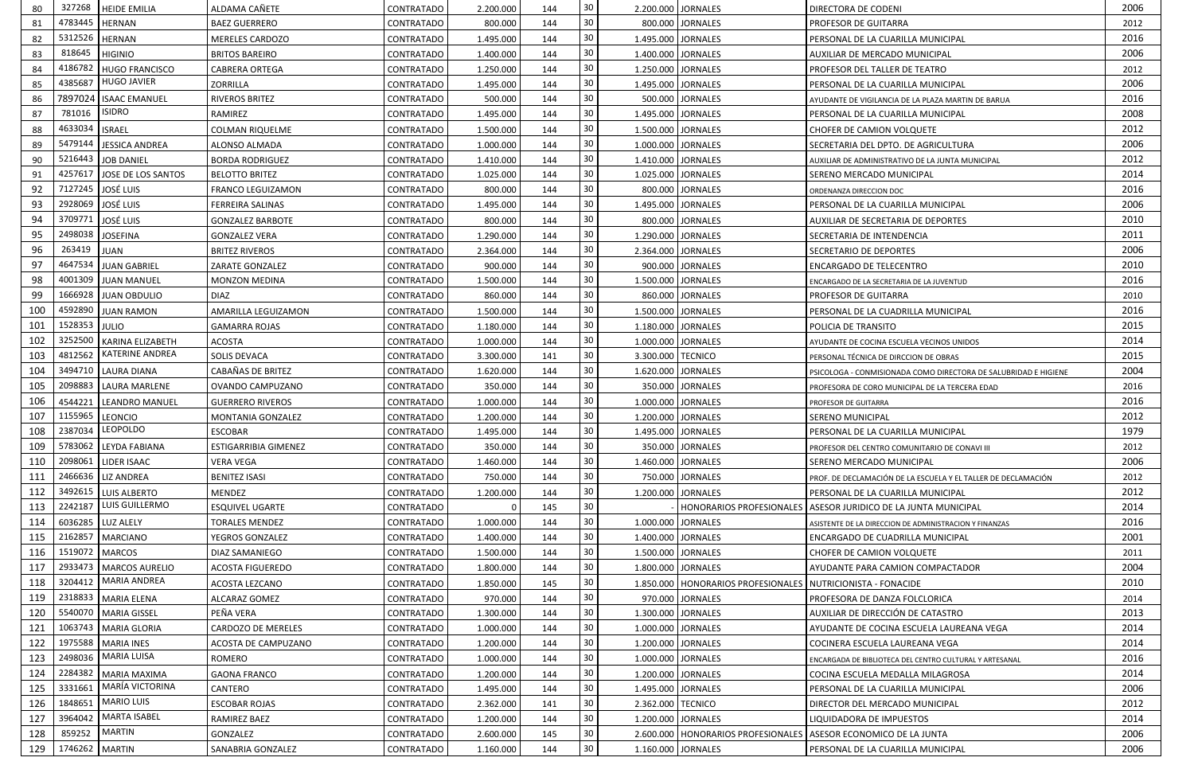| 80  | 327268            | <b>HEIDE EMILIA</b>                    | ALDAMA CAÑETE               | CONTRATADO | 2.200.000 | 144 | 30 | 2.200.000 JORNALES                                              | <b>DIRECTORA DE CODENI</b>                                          | 2006         |
|-----|-------------------|----------------------------------------|-----------------------------|------------|-----------|-----|----|-----------------------------------------------------------------|---------------------------------------------------------------------|--------------|
| 81  | 4783445           | <b>HERNAN</b>                          | <b>BAEZ GUERRERO</b>        | CONTRATADO | 800.000   | 144 | 30 | 800.000 JORNALES                                                | <b>PROFESOR DE GUITARRA</b>                                         | 2012         |
| 82  | 5312526   HERNAN  |                                        | MERELES CARDOZO             | CONTRATADO | 1.495.000 | 144 | 30 | 1.495.000 JORNALES                                              | PERSONAL DE LA CUARILLA MUNICIPAL                                   | 2016         |
| 83  | 818645            | <b>HIGINIO</b>                         | <b>BRITOS BAREIRO</b>       | CONTRATADO | 1.400.000 | 144 | 30 | 1.400.000 JORNALES                                              | AUXILIAR DE MERCADO MUNICIPAL                                       | 2006         |
| 84  | 4186782           | <b>HUGO FRANCISCO</b>                  | <b>CABRERA ORTEGA</b>       | CONTRATADO | 1.250.000 | 144 | 30 | 1.250.000 JORNALES                                              | PROFESOR DEL TALLER DE TEATRO                                       | 2012         |
| 85  | 4385687           | <b>HUGO JAVIER</b>                     | ZORRILLA                    | CONTRATADO | 1.495.000 | 144 | 30 | 1.495.000 JORNALES                                              | PERSONAL DE LA CUARILLA MUNICIPAL                                   | 2006         |
| 86  |                   | 7897024   ISAAC EMANUEL                | <b>RIVEROS BRITEZ</b>       | CONTRATADO | 500.000   | 144 | 30 | 500.000 JORNALES                                                | AYUDANTE DE VIGILANCIA DE LA PLAZA MARTIN DE BARUA                  | 2016         |
| 87  | 781016            | <b>ISIDRO</b>                          | RAMIREZ                     | CONTRATADO | 1.495.000 | 144 | 30 | 1.495.000 JORNALES                                              | PERSONAL DE LA CUARILLA MUNICIPAL                                   | 2008         |
| 88  | 4633034   ISRAEL  |                                        | <b>COLMAN RIQUELME</b>      | CONTRATADO | 1.500.000 | 144 | 30 | 1.500.000 JORNALES                                              | CHOFER DE CAMION VOLQUETE                                           | 2012         |
| 89  | 5479144           | JESSICA ANDREA                         | ALONSO ALMADA               | CONTRATADO | 1.000.000 | 144 | 30 | 1.000.000 JORNALES                                              | SECRETARIA DEL DPTO. DE AGRICULTURA                                 | 2006         |
| 90  |                   | 5216443 JOB DANIEL                     | <b>BORDA RODRIGUEZ</b>      | CONTRATADO | 1.410.000 | 144 | 30 | 1.410.000 JORNALES                                              | AUXILIAR DE ADMINISTRATIVO DE LA JUNTA MUNICIPAL                    | 2012         |
| 91  | 4257617           | JOSE DE LOS SANTOS                     | <b>BELOTTO BRITEZ</b>       | CONTRATADO | 1.025.000 | 144 | 30 | 1.025.000 JORNALES                                              | SERENO MERCADO MUNICIPAL                                            | 2014         |
| 92  | 7127245           | <b>JOSÉ LUIS</b>                       | <b>FRANCO LEGUIZAMON</b>    | CONTRATADO | 800.000   | 144 | 30 | 800.000 JORNALES                                                | ORDENANZA DIRECCION DOC                                             | 2016         |
| 93  | 2928069           | <b>JOSÉ LUIS</b>                       | <b>FERREIRA SALINAS</b>     | CONTRATADO | 1.495.000 | 144 | 30 | 1.495.000 JORNALES                                              | PERSONAL DE LA CUARILLA MUNICIPAL                                   | 2006         |
| 94  | 3709771           | JOSÉ LUIS                              | <b>GONZALEZ BARBOTE</b>     | CONTRATADO | 800.000   | 144 | 30 | 800.000 JORNALES                                                | AUXILIAR DE SECRETARIA DE DEPORTES                                  | 2010         |
| 95  | 2498038           | <b>JOSEFINA</b>                        | <b>GONZALEZ VERA</b>        | CONTRATADO | 1.290.000 | 144 | 30 | 1.290.000 JORNALES                                              | SECRETARIA DE INTENDENCIA                                           | 2011         |
| 96  | 263419            | <b>JUAN</b>                            | <b>BRITEZ RIVEROS</b>       | CONTRATADO | 2.364.000 | 144 | 30 | 2.364.000 JORNALES                                              | <b>SECRETARIO DE DEPORTES</b>                                       | 2006         |
| 97  | 4647534           | <b>JUAN GABRIEL</b>                    | ZARATE GONZALEZ             | CONTRATADO | 900.000   | 144 | 30 | 900.000 JORNALES                                                | <b>ENCARGADO DE TELECENTRO</b>                                      | 2010         |
| 98  | 4001309           | <b>JUAN MANUEL</b>                     | MONZON MEDINA               | CONTRATADO | 1.500.000 | 144 | 30 | 1.500.000 JORNALES                                              | ENCARGADO DE LA SECRETARIA DE LA JUVENTUD                           | 2016         |
| 99  | 1666928           | <b>JUAN OBDULIO</b>                    | <b>DIAZ</b>                 | CONTRATADO | 860.000   | 144 | 30 | 860.000 JORNALES                                                | <b>PROFESOR DE GUITARRA</b>                                         | 2010         |
| 100 | 4592890           | <b>JUAN RAMON</b>                      | AMARILLA LEGUIZAMON         | CONTRATADO | 1.500.000 | 144 | 30 | 1.500.000 JORNALES                                              | PERSONAL DE LA CUADRILLA MUNICIPAL                                  | 2016         |
| 101 | 1528353 JULIO     |                                        | <b>GAMARRA ROJAS</b>        | CONTRATADO | 1.180.000 | 144 | 30 | 1.180.000 JORNALES                                              | POLICIA DE TRANSITO                                                 | 2015         |
| 102 | 3252500           | <b>KARINA ELIZABETH</b>                | <b>ACOSTA</b>               | CONTRATADO | 1.000.000 | 144 | 30 | 1.000.000 JORNALES                                              | AYUDANTE DE COCINA ESCUELA VECINOS UNIDOS                           | 2014         |
| 103 | 4812562           | <b>KATERINE ANDREA</b>                 | SOLIS DEVACA                | CONTRATADO | 3.300.000 | 141 | 30 | 3.300.000 TECNICO                                               | PERSONAL TÉCNICA DE DIRCCION DE OBRAS                               | 2015         |
| 104 |                   | 3494710   LAURA DIANA                  | CABAÑAS DE BRITEZ           | CONTRATADO | 1.620.000 | 144 | 30 | 1.620.000 JORNALES                                              | PSICOLOGA - CONMISIONADA COMO DIRECTORA DE SALUBRIDAD E HIGIENE     | 2004         |
| 105 |                   | 2098883   LAURA MARLENE                | OVANDO CAMPUZANO            | CONTRATADO | 350.000   | 144 | 30 | 350.000 JORNALES                                                |                                                                     | 2016         |
| 106 |                   | 4544221   LEANDRO MANUEL               | <b>GUERRERO RIVEROS</b>     | CONTRATADO | 1.000.000 | 144 | 30 | 1.000.000 JORNALES                                              | PROFESORA DE CORO MUNICIPAL DE LA TERCERA EDAD                      | 2016         |
| 107 | 1155965   LEONCIO |                                        | MONTANIA GONZALEZ           | CONTRATADO | 1.200.000 | 144 | 30 | 1.200.000 JORNALES                                              | PROFESOR DE GUITARRA<br><b>SERENO MUNICIPAL</b>                     | 2012         |
| 108 |                   | 2387034 LEOPOLDO                       | <b>ESCOBAR</b>              | CONTRATADO | 1.495.000 | 144 | 30 | 1.495.000 JORNALES                                              | PERSONAL DE LA CUARILLA MUNICIPAL                                   | 1979         |
| 109 |                   | 5783062 LEYDA FABIANA                  |                             |            |           |     | 30 |                                                                 |                                                                     | 2012         |
| 110 |                   | 2098061 LIDER ISAAC                    | <b>ESTIGARRIBIA GIMENEZ</b> | CONTRATADO | 350.000   | 144 | 30 | 350.000 JORNALES                                                | PROFESOR DEL CENTRO COMUNITARIO DE CONAVI III                       | 2006         |
| 111 |                   | 2466636   LIZ ANDREA                   | <b>VERA VEGA</b>            | CONTRATADO | 1.460.000 | 144 | 30 | 1.460.000 JORNALES                                              | <b>SERENO MERCADO MUNICIPAL</b>                                     |              |
|     |                   |                                        | <b>BENITEZ ISASI</b>        | CONTRATADO | 750.000   | 144 | 30 | 750.000 JORNALES                                                | PROF. DE DECLAMACIÓN DE LA ESCUELA Y EL TALLER DE DECLAMACIÓN       | 2012<br>2012 |
| 112 | 2242187           | 3492615 LUIS ALBERTO<br>LUIS GUILLERMO | <b>MENDEZ</b>               | CONTRATADO | 1.200.000 | 144 | 30 | 1.200.000 JORNALES                                              | PERSONAL DE LA CUARILLA MUNICIPAL                                   |              |
| 113 |                   |                                        | <b>ESQUIVEL UGARTE</b>      | CONTRATADO |           | 145 |    |                                                                 | HONORARIOS PROFESIONALES   ASESOR JURIDICO DE LA JUNTA MUNICIPAL    | 2014         |
| 114 |                   | 6036285   LUZ ALELY                    | <b>TORALES MENDEZ</b>       | CONTRATADO | 1.000.000 | 144 | 30 | 1.000.000 JORNALES                                              | ASISTENTE DE LA DIRECCION DE ADMINISTRACION Y FINANZAS              | 2016         |
| 115 | 2162857           | <b>MARCIANO</b>                        | YEGROS GONZALEZ             | CONTRATADO | 1.400.000 | 144 | 30 | 1.400.000 JORNALES                                              | ENCARGADO DE CUADRILLA MUNICIPAL                                    | 2001         |
| 116 | 1519072           | <b>MARCOS</b>                          | DIAZ SAMANIEGO              | CONTRATADO | 1.500.000 | 144 | 30 | 1.500.000 JORNALES                                              | CHOFER DE CAMION VOLQUETE                                           | 2011         |
| 117 |                   | 2933473   MARCOS AURELIO               | <b>ACOSTA FIGUEREDO</b>     | CONTRATADO | 1.800.000 | 144 | 30 | 1.800.000 JORNALES                                              | AYUDANTE PARA CAMION COMPACTADOR                                    | 2004         |
| 118 |                   | 3204412 MARIA ANDREA                   | ACOSTA LEZCANO              | CONTRATADO | 1.850.000 | 145 | 30 | 1.850.000   HONORARIOS PROFESIONALES   NUTRICIONISTA - FONACIDE |                                                                     | 2010         |
| 119 |                   | 2318833 MARIA ELENA                    | ALCARAZ GOMEZ               | CONTRATADO | 970.000   | 144 | 30 | 970.000 JORNALES                                                | PROFESORA DE DANZA FOLCLORICA                                       | 2014         |
| 120 | 5540070           | <b>MARIA GISSEL</b>                    | PEÑA VERA                   | CONTRATADO | 1.300.000 | 144 | 30 | 1.300.000 JORNALES                                              | AUXILIAR DE DIRECCIÓN DE CATASTRO                                   | 2013         |
| 121 | 1063743           | <b>MARIA GLORIA</b>                    | CARDOZO DE MERELES          | CONTRATADO | 1.000.000 | 144 | 30 | 1.000.000 JORNALES                                              | AYUDANTE DE COCINA ESCUELA LAUREANA VEGA                            | 2014         |
| 122 | 1975588           | <b>MARIA INES</b>                      | ACOSTA DE CAMPUZANO         | CONTRATADO | 1.200.000 | 144 | 30 | 1.200.000 JORNALES                                              | COCINERA ESCUELA LAUREANA VEGA                                      | 2014         |
| 123 | 2498036           | <b>MARIA LUISA</b>                     | ROMERO                      | CONTRATADO | 1.000.000 | 144 | 30 | 1.000.000 JORNALES                                              | ENCARGADA DE BIBLIOTECA DEL CENTRO CULTURAL Y ARTESANAL             | 2016         |
| 124 |                   | 2284382   MARIA MAXIMA                 | <b>GAONA FRANCO</b>         | CONTRATADO | 1.200.000 | 144 | 30 | 1.200.000 JORNALES                                              | COCINA ESCUELA MEDALLA MILAGROSA                                    | 2014         |
| 125 | 3331661           | MARÍA VICTORINA                        | CANTERO                     | CONTRATADO | 1.495.000 | 144 | 30 | 1.495.000 JORNALES                                              | PERSONAL DE LA CUARILLA MUNICIPAL                                   | 2006         |
| 126 | 1848651           | <b>MARIO LUIS</b>                      | <b>ESCOBAR ROJAS</b>        | CONTRATADO | 2.362.000 | 141 | 30 | 2.362.000   TECNICO                                             | DIRECTOR DEL MERCADO MUNICIPAL                                      | 2012         |
| 127 | 3964042           | <b>MARTA ISABEL</b>                    | RAMIREZ BAEZ                | CONTRATADO | 1.200.000 | 144 | 30 | 1.200.000 JORNALES                                              | LIQUIDADORA DE IMPUESTOS                                            | 2014         |
| 128 | 859252            | <b>MARTIN</b>                          | <b>GONZALEZ</b>             | CONTRATADO | 2.600.000 | 145 | 30 |                                                                 | 2.600.000   HONORARIOS PROFESIONALES   ASESOR ECONOMICO DE LA JUNTA | 2006         |
| 129 | 1746262 MARTIN    |                                        | SANABRIA GONZALEZ           | CONTRATADO | 1.160.000 | 144 | 30 | 1.160.000 JORNALES                                              | PERSONAL DE LA CUARILLA MUNICIPAL                                   | 2006         |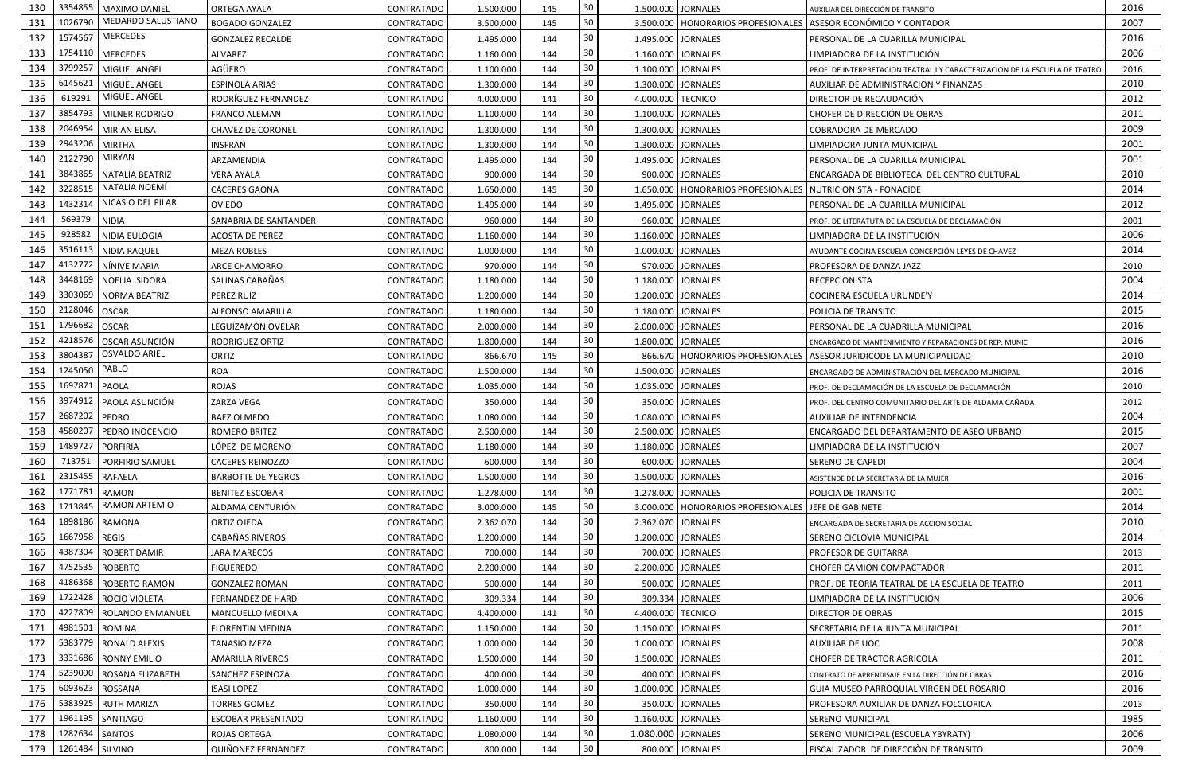| 130 | 3354855          | MAXIMO DANIEL                 | <b>ORTEGA AYALA</b>       | <b>CONTRATADO</b> | 1.500.000 | 145        | 30 <sup>°</sup>           |                    | 1.500.000 JORNALES                   | AUXILIAR DEL DIRECCIÓN DE TRANSITO                                          | 2016         |
|-----|------------------|-------------------------------|---------------------------|-------------------|-----------|------------|---------------------------|--------------------|--------------------------------------|-----------------------------------------------------------------------------|--------------|
| 131 | 1026790          | MEDARDO SALUSTIANO            | <b>BOGADO GONZALEZ</b>    | <b>CONTRATADO</b> | 3.500.000 | 145        | 30                        |                    |                                      | 3.500.000   HONORARIOS PROFESIONALES   ASESOR ECONÓMICO Y CONTADOR          | 2007         |
| 132 | 1574567          | <b>MERCEDES</b>               | <b>GONZALEZ RECALDE</b>   | CONTRATADO        | 1.495.000 | 144        | 30                        |                    | 1.495.000 JORNALES                   | PERSONAL DE LA CUARILLA MUNICIPAL                                           | 2016         |
| 133 | 1754110          | <b>MERCEDES</b>               | ALVAREZ                   | <b>CONTRATADO</b> | 1.160.000 | 144        | 30                        | 1.160.000 JORNALES |                                      | LIMPIADORA DE LA INSTITUCIÓN                                                | 2006         |
| 134 | 3799257          | MIGUEL ANGEL                  | AGÜERO                    | CONTRATADO        | 1.100.000 | 144        | 30                        | 1.100.000 JORNALES |                                      | PROF. DE INTERPRETACION TEATRAL I Y CARACTERIZACION DE LA ESCUELA DE TEATRO | 2016         |
| 135 | 6145621          | MIGUEL ANGEL                  | <b>ESPINOLA ARIAS</b>     | <b>CONTRATADO</b> | 1.300.000 | 144        | 30                        |                    | 1.300.000 JORNALES                   | AUXILIAR DE ADMINISTRACION Y FINANZAS                                       | 2010         |
| 136 | 619291           | MIGUEL ÁNGEL                  | RODRÍGUEZ FERNANDEZ       | CONTRATADO        | 4.000.000 | 141        | $30\,$                    | 4.000.000 TECNICO  |                                      | DIRECTOR DE RECAUDACIÓN                                                     | 2012         |
| 137 | 3854793          | MILNER RODRIGO                | <b>FRANCO ALEMAN</b>      | CONTRATADO        | 1.100.000 | 144        | 30                        |                    | 1.100.000 JORNALES                   | CHOFER DE DIRECCIÓN DE OBRAS                                                | 2011         |
| 138 | 2046954          | <b>MIRIAN ELISA</b>           | <b>CHAVEZ DE CORONEL</b>  | CONTRATADO        | 1.300.000 | 144        | $30\,$                    | 1.300.000 JORNALES |                                      | COBRADORA DE MERCADO                                                        | 2009         |
| 139 | 2943206          | <b>MIRTHA</b>                 | INSFRAN                   | <b>CONTRATADO</b> | 1.300.000 | 144        | 30                        | 1.300.000 JORNALES |                                      | LIMPIADORA JUNTA MUNICIPAL                                                  | 2001         |
| 140 | 2122790          | <b>MIRYAN</b>                 | ARZAMENDIA                | <b>CONTRATADO</b> | 1.495.000 | 144        | 30                        | 1.495.000 JORNALES |                                      | PERSONAL DE LA CUARILLA MUNICIPAL                                           | 2001         |
| 141 | 3843865          | NATALIA BEATRIZ               | VERA AYALA                | <b>CONTRATADO</b> | 900.000   | 144        | 30                        |                    | 900.000 JORNALES                     | ENCARGADA DE BIBLIOTECA DEL CENTRO CULTURAL                                 | 2010         |
| 142 | 3228515          | NATALIA NOEMÍ                 | CÁCERES GAONA             | <b>CONTRATADO</b> | 1.650.000 | 145        | 30                        |                    | 1.650.000   HONORARIOS PROFESIONALES | NUTRICIONISTA - FONACIDE                                                    | 2014         |
| 143 | 1432314          | NICASIO DEL PILAR             | <b>OVIEDO</b>             | <b>CONTRATADO</b> | 1.495.000 | 144        | 30                        | 1.495.000 JORNALES |                                      | PERSONAL DE LA CUARILLA MUNICIPAL                                           | 2012         |
| 144 | 569379           | <b>NIDIA</b>                  | SANABRIA DE SANTANDER     | CONTRATADO        | 960.000   | 144        | 30                        |                    | 960.000 JORNALES                     | PROF. DE LITERATUTA DE LA ESCUELA DE DECLAMACIÓN                            | 2001         |
| 145 | 928582           | NIDIA EULOGIA                 | ACOSTA DE PEREZ           | CONTRATADO        | 1.160.000 | 144        | 30                        | 1.160.000 JORNALES |                                      | LIMPIADORA DE LA INSTITUCIÓN                                                | 2006         |
| 146 | 3516113          | <b>NIDIA RAQUEL</b>           | <b>MEZA ROBLES</b>        | <b>CONTRATADO</b> | 1.000.000 | 144        | 30                        |                    | 1.000.000 JORNALES                   | AYUDANTE COCINA ESCUELA CONCEPCIÓN LEYES DE CHAVEZ                          | 2014         |
| 147 | 4132772          | NÍNIVE MARIA                  | ARCE CHAMORRO             | CONTRATADO        | 970.000   | 144        | 30                        |                    | 970.000 JORNALES                     | PROFESORA DE DANZA JAZZ                                                     | 2010         |
| 148 | 3448169          | NOELIA ISIDORA                | SALINAS CABAÑAS           | <b>CONTRATADO</b> | 1.180.000 | 144        | 30                        | 1.180.000 JORNALES |                                      | <b>RECEPCIONISTA</b>                                                        | 2004         |
| 149 | 3303069          | NORMA BEATRIZ                 | PEREZ RUIZ                | CONTRATADO        | 1.200.000 | 144        | 30                        | 1.200.000 JORNALES |                                      | COCINERA ESCUELA URUNDE'Y                                                   | 2014         |
| 150 | 2128046          | <b>OSCAR</b>                  | ALFONSO AMARILLA          | <b>CONTRATADO</b> | 1.180.000 | 144        | 30                        |                    | 1.180.000 JORNALES                   | POLICIA DE TRANSITO                                                         | 2015         |
| 151 | 1796682          | <b>OSCAR</b>                  | LEGUIZAMÓN OVELAR         | <b>CONTRATADO</b> | 2.000.000 | 144        | 30                        | 2.000.000 JORNALES |                                      | PERSONAL DE LA CUADRILLA MUNICIPAL                                          | 2016         |
| 152 | 4218576          | OSCAR ASUNCIÓN                | RODRIGUEZ ORTIZ           | CONTRATADO        | 1.800.000 | 144        | 30                        |                    | 1.800.000 JORNALES                   | ENCARGADO DE MANTENIMIENTO Y REPARACIONES DE REP. MUNIC                     | 2016         |
| 153 | 3804387          | <b>OSVALDO ARIEL</b>          | ORTIZ                     | <b>CONTRATADO</b> | 866.670   | 145        | 30                        |                    |                                      | 866.670   HONORARIOS PROFESIONALES   ASESOR JURIDICODE LA MUNICIPALIDAD     | 2010         |
| 154 | 1245050          | PABLO                         | <b>ROA</b>                | CONTRATADO        | 1.500.000 | 144        | 30                        |                    | 1.500.000 JORNALES                   | ENCARGADO DE ADMINISTRACIÓN DEL MERCADO MUNICIPAL                           | 2016         |
| 155 | 1697871          | PAOLA                         | <b>ROJAS</b>              | <b>CONTRATADO</b> | 1.035.000 | 144        | 30                        |                    | 1.035.000 JORNALES                   |                                                                             | 2010         |
| 156 | 3974912          |                               | ZARZA VEGA                |                   |           |            | 30                        |                    |                                      | PROF. DE DECLAMACIÓN DE LA ESCUELA DE DECLAMACIÓN                           |              |
| 157 | 2687202 PEDRO    | PAOLA ASUNCIÓN                | <b>BAEZ OLMEDO</b>        | CONTRATADO        | 350.000   | 144<br>144 | 30                        |                    | 350.000 JORNALES                     | PROF. DEL CENTRO COMUNITARIO DEL ARTE DE ALDAMA CAÑADA                      | 2012<br>2004 |
| 158 |                  | 4580207 PEDRO INOCENCIO       |                           | <b>CONTRATADO</b> | 1.080.000 |            | 30                        | 1.080.000 JORNALES |                                      | AUXILIAR DE INTENDENCIA                                                     | 2015         |
|     | 1489727 PORFIRIA |                               | ROMERO BRITEZ             | <b>CONTRATADO</b> | 2.500.000 | 144        |                           | 2.500.000 JORNALES |                                      | ENCARGADO DEL DEPARTAMENTO DE ASEO URBANO                                   | 2007         |
| 159 | 713751           |                               | LÓPEZ DE MORENO           | <b>CONTRATADO</b> | 1.180.000 | 144        | 30 <sub>o</sub><br>$30\,$ |                    | 1.180.000 JORNALES                   | LIMPIADORA DE LA INSTITUCIÓN                                                |              |
| 160 |                  | PORFIRIO SAMUEL               | <b>CACERES REINOZZO</b>   | <b>CONTRATADO</b> | 600.000   | 144        |                           |                    | 600.000 JORNALES                     | SERENO DE CAPEDI                                                            | 2004         |
| 161 | 2315455          | <b>RAFAELA</b>                | <b>BARBOTTE DE YEGROS</b> | <b>CONTRATADO</b> | 1.500.000 | 144        | 30                        |                    | 1.500.000 JORNALES                   | ASISTENDE DE LA SECRETARIA DE LA MUJER                                      | 2016         |
| 162 | 1771781          | <b>RAMON</b><br>RAMON ARTEMIO | <b>BENITEZ ESCOBAR</b>    | CONTRATADO        | 1.278.000 | 144        | $30\,$                    |                    | 1.278.000 JORNALES                   | POLICIA DE TRANSITO                                                         | 2001         |
| 163 | 1713845          |                               | ALDAMA CENTURIÓN          | <b>CONTRATADO</b> | 3.000.000 | 145        | 30                        |                    | 3.000.000   HONORARIOS PROFESIONALES | JEFE DE GABINETE                                                            | 2014         |
| 164 | 1898186          | RAMONA                        | ORTIZ OJEDA               | <b>CONTRATADO</b> | 2.362.070 | 144        | 30                        |                    | 2.362.070 JORNALES                   | ENCARGADA DE SECRETARIA DE ACCION SOCIAL                                    | 2010         |
| 165 | 1667958          | <b>REGIS</b>                  | <b>CABAÑAS RIVEROS</b>    | <b>CONTRATADO</b> | 1.200.000 | 144        | 30                        |                    | 1.200.000 JORNALES                   | SERENO CICLOVIA MUNICIPAL                                                   | 2014         |
| 166 | 4387304          | <b>ROBERT DAMIR</b>           | JARA MARECOS              | <b>CONTRATADO</b> | 700.000   | 144        | 30                        |                    | 700.000 JORNALES                     | PROFESOR DE GUITARRA                                                        | 2013         |
| 167 | 4752535          | <b>ROBERTO</b>                | <b>FIGUEREDO</b>          | <b>CONTRATADO</b> | 2.200.000 | 144        | 30                        | 2.200.000 JORNALES |                                      | CHOFER CAMION COMPACTADOR                                                   | 2011         |
| 168 | 4186368          | <b>ROBERTO RAMON</b>          | <b>GONZALEZ ROMAN</b>     | <b>CONTRATADO</b> | 500.000   | 144        | 30                        |                    | 500.000 JORNALES                     | PROF. DE TEORIA TEATRAL DE LA ESCUELA DE TEATRO                             | 2011         |
| 169 | 1722428          | ROCIO VIOLETA                 | FERNANDEZ DE HARD         | <b>CONTRATADO</b> | 309.334   | 144        | 30                        |                    | 309.334 JORNALES                     | LIMPIADORA DE LA INSTITUCIÓN                                                | 2006         |
| 170 | 4227809          | <b>ROLANDO ENMANUEL</b>       | <b>MANCUELLO MEDINA</b>   | <b>CONTRATADO</b> | 4.400.000 | 141        | 30                        | 4.400.000 TECNICO  |                                      | <b>DIRECTOR DE OBRAS</b>                                                    | 2015         |
| 171 | 4981501          | <b>ROMINA</b>                 | <b>FLORENTIN MEDINA</b>   | CONTRATADO        | 1.150.000 | 144        | 30                        |                    | 1.150.000 JORNALES                   | SECRETARIA DE LA JUNTA MUNICIPAL                                            | 2011         |
| 172 | 5383779          | <b>RONALD ALEXIS</b>          | <b>TANASIO MEZA</b>       | CONTRATADO        | 1.000.000 | 144        | 30                        |                    | 1.000.000 JORNALES                   | AUXILIAR DE UOC                                                             | 2008         |
| 173 | 3331686          | <b>RONNY EMILIO</b>           | <b>AMARILLA RIVEROS</b>   | <b>CONTRATADO</b> | 1.500.000 | 144        | 30                        |                    | 1.500.000 JORNALES                   | CHOFER DE TRACTOR AGRICOLA                                                  | 2011         |
| 174 | 5239090          | <b>ROSANA ELIZABETH</b>       | SANCHEZ ESPINOZA          | <b>CONTRATADO</b> | 400.000   | 144        | 30                        |                    | 400.000 JORNALES                     | CONTRATO DE APRENDISAJE EN LA DIRECCIÓN DE OBRAS                            | 2016         |
| 175 | 6093623          | ROSSANA                       | <b>ISASI LOPEZ</b>        | <b>CONTRATADO</b> | 1.000.000 | 144        | 30                        |                    | 1.000.000 JORNALES                   | <b>GUIA MUSEO PARROQUIAL VIRGEN DEL ROSARIO</b>                             | 2016         |
| 176 | 5383925          | <b>RUTH MARIZA</b>            | TORRES GOMEZ              | <b>CONTRATADO</b> | 350.000   | 144        | 30                        |                    | 350.000 JORNALES                     | PROFESORA AUXILIAR DE DANZA FOLCLORICA                                      | 2013         |
| 177 | 1961195          | SANTIAGO                      | <b>ESCOBAR PRESENTADO</b> | <b>CONTRATADO</b> | 1.160.000 | 144        | $30\,$                    |                    | 1.160.000 JORNALES                   | SERENO MUNICIPAL                                                            | 1985         |
| 178 | 1282634          | <b>SANTOS</b>                 | <b>ROJAS ORTEGA</b>       | <b>CONTRATADO</b> | 1.080.000 | 144        | 30                        | 1.080.000 JORNALES |                                      | SERENO MUNICIPAL (ESCUELA YBYRATY)                                          | 2006         |
| 179 | 1261484          | SILVINO                       | QUIÑONEZ FERNANDEZ        | CONTRATADO        | 800.000   | 144        | 30                        |                    | 800.000 JORNALES                     | FISCALIZADOR DE DIRECCIÓN DE TRANSITO                                       | 2009         |